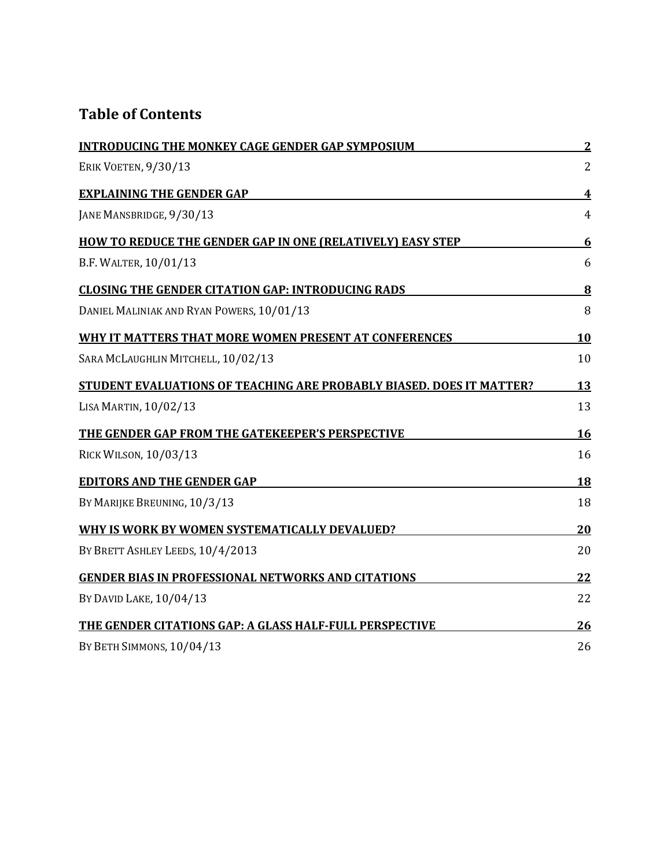## **Table of Contents**

| <b>INTRODUCING THE MONKEY CAGE GENDER GAP SYMPOSIUM</b>                     | $\overline{2}$          |
|-----------------------------------------------------------------------------|-------------------------|
| ERIK VOETEN, 9/30/13                                                        | $\overline{2}$          |
| <b>EXPLAINING THE GENDER GAP</b>                                            | <u>4</u>                |
| JANE MANSBRIDGE, 9/30/13                                                    | 4                       |
| <b>HOW TO REDUCE THE GENDER GAP IN ONE (RELATIVELY) EASY STEP</b>           | <u>6</u>                |
| B.F. WALTER, 10/01/13                                                       | 6                       |
| <b>CLOSING THE GENDER CITATION GAP: INTRODUCING RADS</b>                    | $\overline{\mathbf{8}}$ |
| DANIEL MALINIAK AND RYAN POWERS, 10/01/13                                   | 8                       |
| WHY IT MATTERS THAT MORE WOMEN PRESENT AT CONFERENCES                       | 10                      |
| SARA MCLAUGHLIN MITCHELL, 10/02/13                                          | 10                      |
| <b>STUDENT EVALUATIONS OF TEACHING ARE PROBABLY BIASED. DOES IT MATTER?</b> | <b>13</b>               |
| <b>LISA MARTIN, 10/02/13</b>                                                | 13                      |
| <b>THE GENDER GAP FROM THE GATEKEEPER'S PERSPECTIVE</b>                     | <u>16</u>               |
| RICK WILSON, 10/03/13                                                       | 16                      |
| <b>EDITORS AND THE GENDER GAP</b>                                           | 18                      |
| BY MARIJKE BREUNING, 10/3/13                                                | 18                      |
| WHY IS WORK BY WOMEN SYSTEMATICALLY DEVALUED?                               | 20                      |
| BY BRETT ASHLEY LEEDS, 10/4/2013                                            | 20                      |
| <b>GENDER BIAS IN PROFESSIONAL NETWORKS AND CITATIONS</b>                   | 22                      |
| BY DAVID LAKE, 10/04/13                                                     | 22                      |
| THE GENDER CITATIONS GAP: A GLASS HALF-FULL PERSPECTIVE                     | 26                      |
| BY BETH SIMMONS, 10/04/13                                                   | 26                      |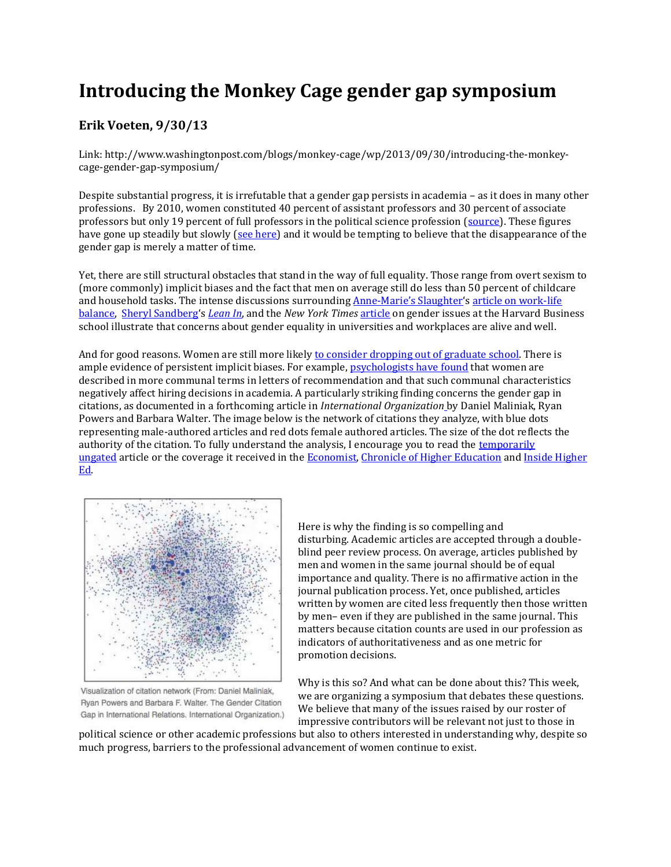## **Introducing the Monkey Cage gender gap symposium**

### **Erik Voeten, 9/30/13**

Link: http://www.washingtonpost.com/blogs/monkey-cage/wp/2013/09/30/introducing-the-monkeycage-gender-gap-symposium/

Despite substantial progress, it is irrefutable that a gender gap persists in academia – as it does in many other professions. By 2010, women constituted 40 percent of assistant professors and 30 percent of associate professors but only 19 percent of full professors in the political science profession [\(source\)](http://www.saramitchell.org/stegmaier.pdf). These figures have gone up steadily but slowly [\(see here\)](http://www.apsanet.org/imgtest/Website%20brief%20on%20women%20in%20PS%20v2%201%202007.pdf) and it would be tempting to believe that the disappearance of the gender gap is merely a matter of time.

Yet, there are still structural obstacles that stand in the way of full equality. Those range from overt sexism to (more commonly) implicit biases and the fact that men on average still do less than 50 percent of childcare and household tasks. The intense discussions surrounding Anne-[Marie's Slaughter's](https://www.google.nl/url?sa=t&rct=j&q=&esrc=s&source=web&cd=1&cad=rja&ved=0CC0QFjAA&url=http%3A%2F%2Fen.wikipedia.org%2Fwiki%2FAnne-Marie_Slaughter&ei=YZVIUti0M7Dj4APA3YCYAw&usg=AFQjCNEpIUJZl-2EIEfuyxYjPXgcxkKPHQ&bvm=bv.53217764,d.dmg) article on work-life [balance,](http://www.theatlantic.com/magazine/archive/2012/07/why-women-still-cant-have-it-all/309020/) [Sheryl Sandberg](http://en.wikipedia.org/wiki/Sheryl_Sandberg)'s *[Lean In](https://www.google.com/url?sa=t&rct=j&q=&esrc=s&source=web&cd=2&cad=rja&sqi=2&ved=0CEMQFjAB&url=http%3A%2F%2Fleanin.org%2Fbook%2F&ei=XU5IUqTGEer_4APCl4HIBw&usg=AFQjCNEZGIkZRf-muTCXt5Hgrrk1Vs7m8Q&sig2=Th0cPwaSovkEqX985iQ4pA)*, and the *New York Times* [article](https://www.google.com/url?sa=t&rct=j&q=&esrc=s&source=web&cd=1&cad=rja&ved=0CCwQFjAA&url=http%3A%2F%2Fwww.nytimes.com%2F2013%2F09%2F08%2Feducation%2Fharvard-case-study-gender-equity.html%3Fpagewanted%3Dall&ei=oU5IUu22DdGu4APUhIH4BA&usg=AFQjCNFiUPia3iZBlngVEXBK_NiKnnf1gQ&sig2=YPlR6akcpC4eqd_AcA565w) on gender issues at the Harvard Business school illustrate that concerns about gender equality in universities and workplaces are alive and well.

And for good reasons. Women are still more likely [to consider dropping out of graduate school.](http://ir.uiowa.edu/cgi/viewcontent.cgi?article=1074&context=polisci_pubs&sei-redir=1&referer=http%3A%2F%2Fscholar.google.com%2Fscholar%3Fhl%3Den%26q%3DHesli%252C%2BVicky%252C%2BEvelyn%2BC.%2BFink%252C%2Band%2BDiane%2BDuffy%26btnG%3D%26as_sdt%3D1%252C21%26as_sdtp%3D#search=%22Hesli%2C%20Vicky%2C%20Evelyn%20C.%20Fink%2C%20Diane%20Duffy%22) There is ample evidence of persistent implicit biases. For example, [psychologists have found](http://www.academic.umn.edu/wfc/rec%20letter%20study%202009.pdf) that women are described in more communal terms in letters of recommendation and that such communal characteristics negatively affect hiring decisions in academia. A particularly striking finding concerns the gender gap in citations, as documented in a forthcoming article in *International Organizatio[n](http://journals.cambridge.org/action/displayAbstract?fromPage=online&aid=8990966&fulltextType=RA&fileId=S0020818313000209)* by Daniel Maliniak, Ryan Powers and Barbara Walter. The image below is the network of citations they analyze, with blue dots representing male-authored articles and red dots female authored articles. The size of the dot reflects the authority of the citation. To fully understand the analysis, I encourage you to read the [temporarily](http://journals.cambridge.org/action/displayAbstract?fromPage=online&aid=8990966&fulltextType=RA&fileId=S0020818313000209)  [ungated](http://journals.cambridge.org/action/displayAbstract?fromPage=online&aid=8990966&fulltextType=RA&fileId=S0020818313000209) article or the coverage it received in the [Economist,](http://www.economist.com/news/science-and-technology/21584316-women-may-fail-win-chairs-because-they-do-not-cite-themselves-enough-promotion) [Chronicle of Higher Education](http://chronicle.com/article/Political-Science-Is-Rife-With/141319/) and [Inside Higher](http://www.insidehighered.com/news/2013/08/30/political-scientists-debate-whether-women-field-should-mimic-or-change-men)  [Ed.](http://www.insidehighered.com/news/2013/08/30/political-scientists-debate-whether-women-field-should-mimic-or-change-men)



Visualization of citation network (From: Daniel Maliniak, Rvan Powers and Barbara F. Walter, The Gender Citation Gap in International Relations. International Organization.)

Here is why the finding is so compelling and disturbing. Academic articles are accepted through a doubleblind peer review process. On average, articles published by men and women in the same journal should be of equal importance and quality. There is no affirmative action in the journal publication process. Yet, once published, articles written by women are cited less frequently then those written by men– even if they are published in the same journal. This matters because citation counts are used in our profession as indicators of authoritativeness and as one metric for promotion decisions.

Why is this so? And what can be done about this? This week, we are organizing a symposium that debates these questions. We believe that many of the issues raised by our roster of impressive contributors will be relevant not just to those in

political science or other academic professions but also to others interested in understanding why, despite so much progress, barriers to the professional advancement of women continue to exist.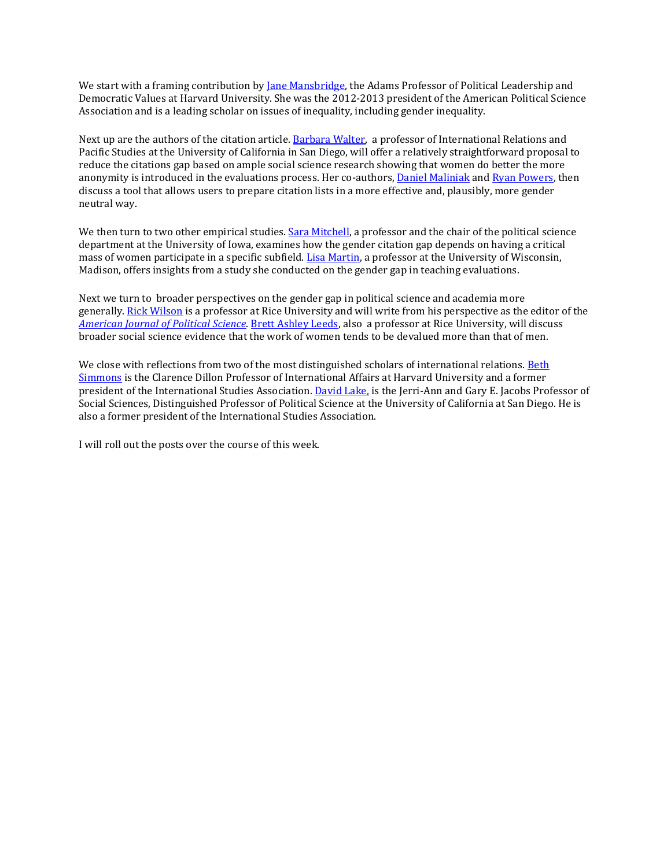We start with a framing contribution by [Jane Mansbridge,](https://www.google.nl/url?sa=t&rct=j&q=&esrc=s&source=web&cd=1&cad=rja&ved=0CC0QFjAA&url=http%3A%2F%2Fwww.hks.harvard.edu%2Fabout%2Ffaculty-staff-directory%2Fjane-mansbridge&ei=QjtHUtPMA6vl4APr9oGoCg&usg=AFQjCNG2miUO86FhsphwcqnrmBRUFXOx6Q&bvm=bv.53217764,d.dmg) the Adams Professor of Political Leadership and Democratic Values at Harvard University. She was the 2012-2013 president of the American Political Science Association and is a leading scholar on issues of inequality, including gender inequality.

Next up are the authors of the citation article. [Barbara Walter,](https://www.google.nl/url?sa=t&rct=j&q=&esrc=s&source=web&cd=2&cad=rja&ved=0CDYQFjAB&url=http%3A%2F%2Firps.ucsd.edu%2Ffaculty%2Ffaculty-directory%2Fbarbara-walter.htm&ei=wTpHUp6QN8H84AOu2oCIAg&usg=AFQjCNGjvb-dlVibi_jSMuKNBiK9RRgRyA&bvm=bv.53217764,d.dmg) a professor of International Relations and Pacific Studies at the University of California in San Diego, will offer a relatively straightforward proposal to reduce the citations gap based on ample social science research showing that women do better the more anonymity is introduced in the evaluations process. Her co-authors, [Daniel Maliniak](http://polisci2.ucsd.edu/dmaliniak/) an[d Ryan Powers,](https://mywebspace.wisc.edu/rpowers/) then discuss a tool that allows users to prepare citation lists in a more effective and, plausibly, more gender neutral way.

We then turn to two other empirical studies. [Sara Mitchell,](https://www.google.nl/url?sa=t&rct=j&q=&esrc=s&source=web&cd=2&cad=rja&ved=0CDMQFjAB&url=http%3A%2F%2Fsaramitchell.org%2F&ei=1jpHUvXCEZjb4AO6h4H4Cw&usg=AFQjCNGBXYnfd2qVCFJkgMspHzj48vw-Nw&bvm=bv.53217764,d.dmg) a professor and the chair of the political science department at the University of Iowa, examines how the gender citation gap depends on having a critical mass of women participate in a specific subfield. [Lisa Martin,](http://www.polisci.wisc.edu/people/person.aspx?id=1062) a professor at the University of Wisconsin, Madison, offers insights from a study she conducted on the gender gap in teaching evaluations.

Next we turn to broader perspectives on the gender gap in political science and academia more generally. [Rick Wilson](https://www.google.nl/url?sa=t&rct=j&q=&esrc=s&source=web&cd=3&cad=rja&ved=0CDkQFjAC&url=http%3A%2F%2Frkw.rice.edu%2F&ei=AjtHUqD2Fc7C4APDh4CwAQ&usg=AFQjCNGTVDWY-ezbprgjLBtdN4V9Kbaaug&bvm=bv.53217764,d.dmg) is a professor at Rice University and will write from his perspective as the editor of the *[American Journal of Political Science](https://www.google.nl/url?sa=t&rct=j&q=&esrc=s&source=web&cd=4&cad=rja&ved=0CEgQFjAD&url=http%3A%2F%2Fajps.org%2F&ei=ephIUpP_EIfD4AOR_IHAAw&usg=AFQjCNFIZA3owgVhNbWO0i5KeT1mVUWlxg&bvm=bv.53217764,d.dmg)*. [Brett Ashley Leeds,](https://www.google.nl/url?sa=t&rct=j&q=&esrc=s&source=web&cd=1&cad=rja&ved=0CC0QFjAA&url=http%3A%2F%2Fwww.ruf.rice.edu%2F%7Eleeds%2F&ei=EztHUvrsCe7G4APL0IGQDQ&usg=AFQjCNEC8RgDnkEFvJEDHUUIDBCJiVo0Qg&bvm=bv.53217764,d.dmg) also a professor at Rice University, will discuss broader social science evidence that the work of women tends to be devalued more than that of men.

We close with reflections from two of the most distinguished scholars of international relations. Beth [Simmons](http://scholar.harvard.edu/bsimmons/) is the Clarence Dillon Professor of International Affairs at Harvard University and a former president of the International Studies Association. [David Lake,](https://www.google.nl/url?sa=t&rct=j&q=&esrc=s&source=web&cd=1&cad=rja&ved=0CC0QFjAA&url=http%3A%2F%2Fweber.ucsd.edu%2F%7Edlake%2F&ei=MjtHUp_nJOnl4APsmoCYDg&usg=AFQjCNFfWpkyditL7C_B8QKJvqX3XwK1RQ&bvm=bv.53217764,d.dmg) is the Jerri-Ann and Gary E. Jacobs Professor of Social Sciences, Distinguished Professor of Political Science at the University of California at San Diego. He is also a former president of the International Studies Association.

I will roll out the posts over the course of this week.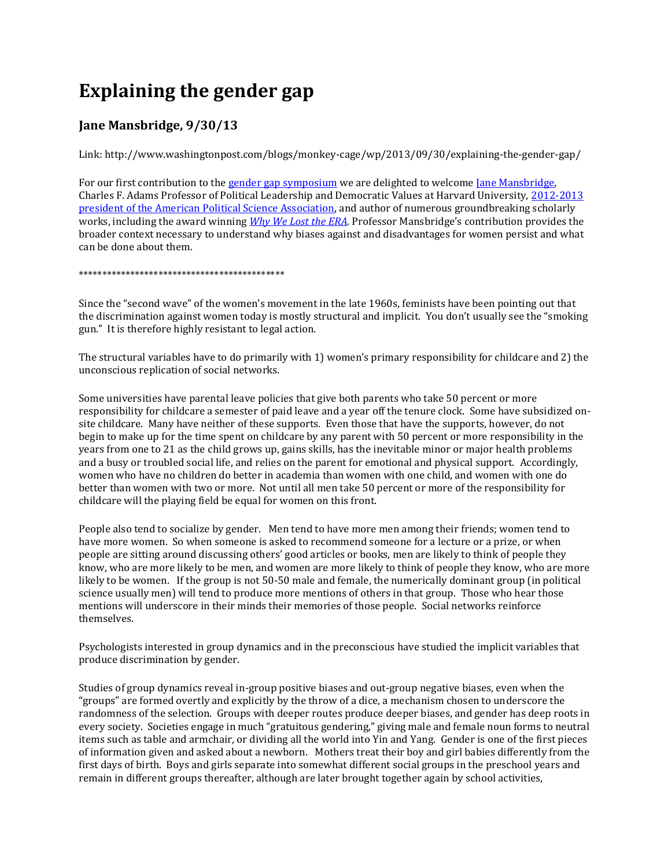# **Explaining the gender gap**

### **Jane Mansbridge, 9/30/13**

Link: http://www.washingtonpost.com/blogs/monkey-cage/wp/2013/09/30/explaining-the-gender-gap/

For our first contribution to th[e gender gap symposium](http://www.washingtonpost.com/blogs/monkey-cage/wp/2013/09/30/introducing-the-monkey-cage-gender-gap-symposium/) we are delighted to welcome [Jane Mansbridge,](http://www.hks.harvard.edu/about/faculty-staff-directory/jane-mansbridge) Charles F. Adams Professor of Political Leadership and Democratic Values at Harvard University, [2012-2013](http://www.apsanet.org/content_76311.cfm)  [president of the American Political Science Association,](http://www.apsanet.org/content_76311.cfm) and author of numerous groundbreaking scholarly works, including the award winning *[Why We Lost the ERA.](http://www.amazon.com/Why-Lost-Equal-Rights-Movement/dp/0226503585)* Professor Mansbridge's contribution provides the broader context necessary to understand why biases against and disadvantages for women persist and what can be done about them.

#### \*\*\*\*\*\*\*\*\*\*\*\*\*\*\*\*\*\*\*\*\*\*\*\*\*\*\*\*\*\*\*\*\*\*\*\*\*\*\*\*\*\*\*\*

Since the "second wave" of the women's movement in the late 1960s, feminists have been pointing out that the discrimination against women today is mostly structural and implicit. You don't usually see the "smoking gun." It is therefore highly resistant to legal action.

The structural variables have to do primarily with 1) women's primary responsibility for childcare and 2) the unconscious replication of social networks.

Some universities have parental leave policies that give both parents who take 50 percent or more responsibility for childcare a semester of paid leave and a year off the tenure clock. Some have subsidized onsite childcare. Many have neither of these supports. Even those that have the supports, however, do not begin to make up for the time spent on childcare by any parent with 50 percent or more responsibility in the years from one to 21 as the child grows up, gains skills, has the inevitable minor or major health problems and a busy or troubled social life, and relies on the parent for emotional and physical support. Accordingly, women who have no children do better in academia than women with one child, and women with one do better than women with two or more. Not until all men take 50 percent or more of the responsibility for childcare will the playing field be equal for women on this front.

People also tend to socialize by gender. Men tend to have more men among their friends; women tend to have more women. So when someone is asked to recommend someone for a lecture or a prize, or when people are sitting around discussing others' good articles or books, men are likely to think of people they know, who are more likely to be men, and women are more likely to think of people they know, who are more likely to be women. If the group is not 50-50 male and female, the numerically dominant group (in political science usually men) will tend to produce more mentions of others in that group. Those who hear those mentions will underscore in their minds their memories of those people. Social networks reinforce themselves.

Psychologists interested in group dynamics and in the preconscious have studied the implicit variables that produce discrimination by gender.

Studies of group dynamics reveal in-group positive biases and out-group negative biases, even when the "groups" are formed overtly and explicitly by the throw of a dice, a mechanism chosen to underscore the randomness of the selection. Groups with deeper routes produce deeper biases, and gender has deep roots in every society. Societies engage in much "gratuitous gendering," giving male and female noun forms to neutral items such as table and armchair, or dividing all the world into Yin and Yang. Gender is one of the first pieces of information given and asked about a newborn. Mothers treat their boy and girl babies differently from the first days of birth. Boys and girls separate into somewhat different social groups in the preschool years and remain in different groups thereafter, although are later brought together again by school activities,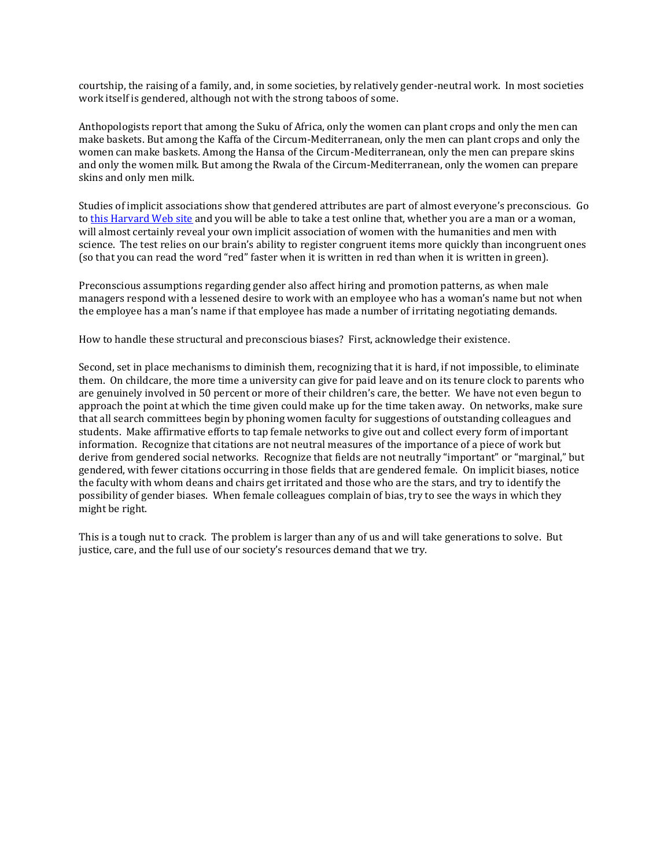courtship, the raising of a family, and, in some societies, by relatively gender-neutral work. In most societies work itself is gendered, although not with the strong taboos of some.

Anthopologists report that among the Suku of Africa, only the women can plant crops and only the men can make baskets. But among the Kaffa of the Circum-Mediterranean, only the men can plant crops and only the women can make baskets. Among the Hansa of the Circum-Mediterranean, only the men can prepare skins and only the women milk. But among the Rwala of the Circum-Mediterranean, only the women can prepare skins and only men milk.

Studies of implicit associations show that gendered attributes are part of almost everyone's preconscious. Go to [this Harvard Web site](https://implicit.harvard.edu/implicit/demo/) and you will be able to take a test online that, whether you are a man or a woman, will almost certainly reveal your own implicit association of women with the humanities and men with science. The test relies on our brain's ability to register congruent items more quickly than incongruent ones (so that you can read the word "red" faster when it is written in red than when it is written in green).

Preconscious assumptions regarding gender also affect hiring and promotion patterns, as when male managers respond with a lessened desire to work with an employee who has a woman's name but not when the employee has a man's name if that employee has made a number of irritating negotiating demands.

How to handle these structural and preconscious biases? First, acknowledge their existence.

Second, set in place mechanisms to diminish them, recognizing that it is hard, if not impossible, to eliminate them. On childcare, the more time a university can give for paid leave and on its tenure clock to parents who are genuinely involved in 50 percent or more of their children's care, the better. We have not even begun to approach the point at which the time given could make up for the time taken away. On networks, make sure that all search committees begin by phoning women faculty for suggestions of outstanding colleagues and students. Make affirmative efforts to tap female networks to give out and collect every form of important information. Recognize that citations are not neutral measures of the importance of a piece of work but derive from gendered social networks. Recognize that fields are not neutrally "important" or "marginal," but gendered, with fewer citations occurring in those fields that are gendered female. On implicit biases, notice the faculty with whom deans and chairs get irritated and those who are the stars, and try to identify the possibility of gender biases. When female colleagues complain of bias, try to see the ways in which they might be right.

This is a tough nut to crack. The problem is larger than any of us and will take generations to solve. But justice, care, and the full use of our society's resources demand that we try.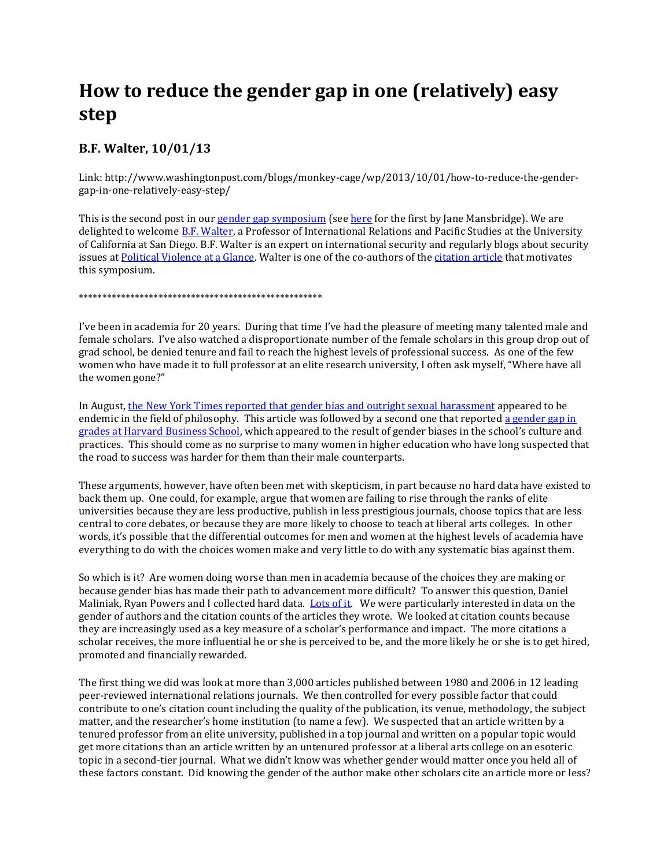## **How to reduce the gender gap in one (relatively) easy step**

### **B.F. Walter, 10/01/13**

Link: http://www.washingtonpost.com/blogs/monkey-cage/wp/2013/10/01/how-to-reduce-the-gendergap-in-one-relatively-easy-step/

This is the second post in ou[r gender gap symposium](http://www.washingtonpost.com/blogs/monkey-cage/wp/2013/09/30/introducing-the-monkey-cage-gender-gap-symposium/) (see [here](http://www.washingtonpost.com/blogs/monkey-cage/wp/2013/09/30/explaining-the-gender-gap/) for the first by Jane Mansbridge). We are delighted to welcome [B.F. Walter,](http://irps.ucsd.edu/faculty/faculty-directory/barbara-walter.htm) a Professor of International Relations and Pacific Studies at the University of California at San Diego. B.F. Walter is an expert on international security and regularly blogs about security issues a[t Political Violence at a Glance.](http://politicalviolenceataglance.org/) Walter is one of the co-authors of th[e citation article](http://journals.cambridge.org/action/displayAbstract?fromPage=online&aid=8990966&fulltextType=RA&fileId=S0020818313000209) that motivates this symposium.

\*\*\*\*\*\*\*\*\*\*\*\*\*\*\*\*\*\*\*\*\*\*\*\*\*\*\*\*\*\*\*\*\*\*\*\*\*\*\*\*\*\*\*\*\*\*\*\*\*\*\*\*

I've been in academia for 20 years. During that time I've had the pleasure of meeting many talented male and female scholars. I've also watched a disproportionate number of the female scholars in this group drop out of grad school, be denied tenure and fail to reach the highest levels of professional success. As one of the few women who have made it to full professor at an elite research university, I often ask myself, "Where have all the women gone?"

In August, [the New York Times reported that gender bias and outright sexual harassment](http://www.nytimes.com/2013/08/03/arts/colin-mcginn-philosopher-to-leave-his-post.html?pagewanted=all&_r=0) appeared to be endemic in the field of philosophy. This article was followed by a second one that reported [a gender gap in](http://www.nytimes.com/2013/09/08/education/harvard-case-study-gender-equity.html?nl=todaysheadlines&emc=edit_th_20130908&_r=0)  [grades at Harvard Business School](http://www.nytimes.com/2013/09/08/education/harvard-case-study-gender-equity.html?nl=todaysheadlines&emc=edit_th_20130908&_r=0), which appeared to the result of gender biases in the school's culture and practices. This should come as no surprise to many women in higher education who have long suspected that the road to success was harder for them than their male counterparts.

These arguments, however, have often been met with skepticism, in part because no hard data have existed to back them up. One could, for example, argue that women are failing to rise through the ranks of elite universities because they are less productive, publish in less prestigious journals, choose topics that are less central to core debates, or because they are more likely to choose to teach at liberal arts colleges. In other words, it's possible that the differential outcomes for men and women at the highest levels of academia have everything to do with the choices women make and very little to do with any systematic bias against them.

So which is it? Are women doing worse than men in academia because of the choices they are making or because gender bias has made their path to advancement more difficult? To answer this question, Daniel Maliniak, Ryan Powers and I collected hard data. [Lots of it.](http://journals.cambridge.org/action/displayAbstract?fromPage=online&aid=8990966&fulltextType=RA&fileId=S0020818313000209) We were particularly interested in data on the gender of authors and the citation counts of the articles they wrote. We looked at citation counts because they are increasingly used as a key measure of a scholar's performance and impact. The more citations a scholar receives, the more influential he or she is perceived to be, and the more likely he or she is to get hired, promoted and financially rewarded.

The first thing we did was look at more than 3,000 articles published between 1980 and 2006 in 12 leading peer-reviewed international relations journals. We then controlled for every possible factor that could contribute to one's citation count including the quality of the publication, its venue, methodology, the subject matter, and the researcher's home institution (to name a few). We suspected that an article written by a tenured professor from an elite university, published in a top journal and written on a popular topic would get more citations than an article written by an untenured professor at a liberal arts college on an esoteric topic in a second-tier journal. What we didn't know was whether gender would matter once you held all of these factors constant. Did knowing the gender of the author make other scholars cite an article more or less?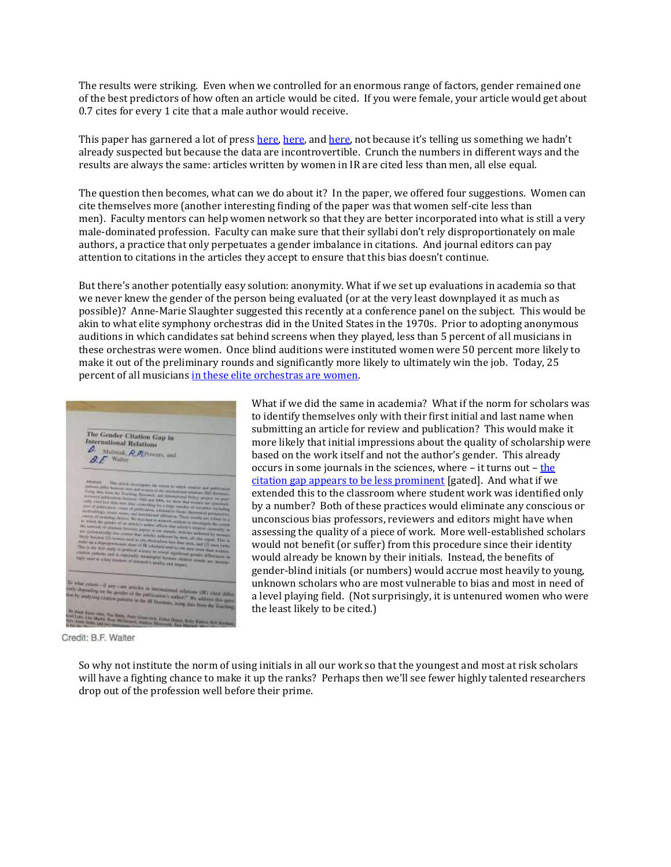The results were striking. Even when we controlled for an enormous range of factors, gender remained one of the best predictors of how often an article would be cited. If you were female, your article would get about 0.7 cites for every 1 cite that a male author would receive.

This paper has garnered a lot of pres[s here,](http://www.economist.com/news/science-and-technology/21584316-women-may-fail-win-chairs-because-they-do-not-cite-themselves-enough-promotion) [here,](http://chronicle.com/article/Political-Science-Is-Rife-With/141319/) an[d here](http://www.insidehighered.com/news/2013/08/30/political-scientists-debate-whether-women-field-should-mimic-or-change-men), not because it's telling us something we hadn't already suspected but because the data are incontrovertible. Crunch the numbers in different ways and the results are always the same: articles written by women in IR are cited less than men, all else equal.

The question then becomes, what can we do about it? In the paper, we offered four suggestions. Women can cite themselves more (another interesting finding of the paper was that women self-cite less than men). Faculty mentors can help women network so that they are better incorporated into what is still a very male-dominated profession. Faculty can make sure that their syllabi don't rely disproportionately on male authors, a practice that only perpetuates a gender imbalance in citations. And journal editors can pay attention to citations in the articles they accept to ensure that this bias doesn't continue.

But there's another potentially easy solution: anonymity. What if we set up evaluations in academia so that we never knew the gender of the person being evaluated (or at the very least downplayed it as much as possible)? Anne-Marie Slaughter suggested this recently at a conference panel on the subject. This would be akin to what elite symphony orchestras did in the United States in the 1970s. Prior to adopting anonymous auditions in which candidates sat behind screens when they played, less than 5 percent of all musicians in these orchestras were women. Once blind auditions were instituted women were 50 percent more likely to make it out of the preliminary rounds and significantly more likely to ultimately win the job. Today, 25 percent of all musicians [in these elite orchestras are women.](http://ideas.repec.org/p/nbr/nberwo/5903.html)



#### What if we did the same in academia? What if the norm for scholars was to identify themselves only with their first initial and last name when submitting an article for review and publication? This would make it more likely that initial impressions about the quality of scholarship were based on the work itself and not the author's gender. This already occurs in some journals in [the](http://www.jstor.org/discover/10.2307/29775599?uid=3739560&uid=2&uid=4&uid=3739256&sid=21102664048041) sciences, where – it turns out – the [citation gap appears to be less prominent](http://www.jstor.org/discover/10.2307/29775599?uid=3739560&uid=2&uid=4&uid=3739256&sid=21102664048041) [gated]. And what if we extended this to the classroom where student work was identified only by a number? Both of these practices would eliminate any conscious or unconscious bias professors, reviewers and editors might have when assessing the quality of a piece of work. More well-established scholars would not benefit (or suffer) from this procedure since their identity would already be known by their initials. Instead, the benefits of gender-blind initials (or numbers) would accrue most heavily to young, unknown scholars who are most vulnerable to bias and most in need of a level playing field. (Not surprisingly, it is untenured women who were the least likely to be cited.)

Credit: B.F. Walter

So why not institute the norm of using initials in all our work so that the youngest and most at risk scholars will have a fighting chance to make it up the ranks? Perhaps then we'll see fewer highly talented researchers drop out of the profession well before their prime.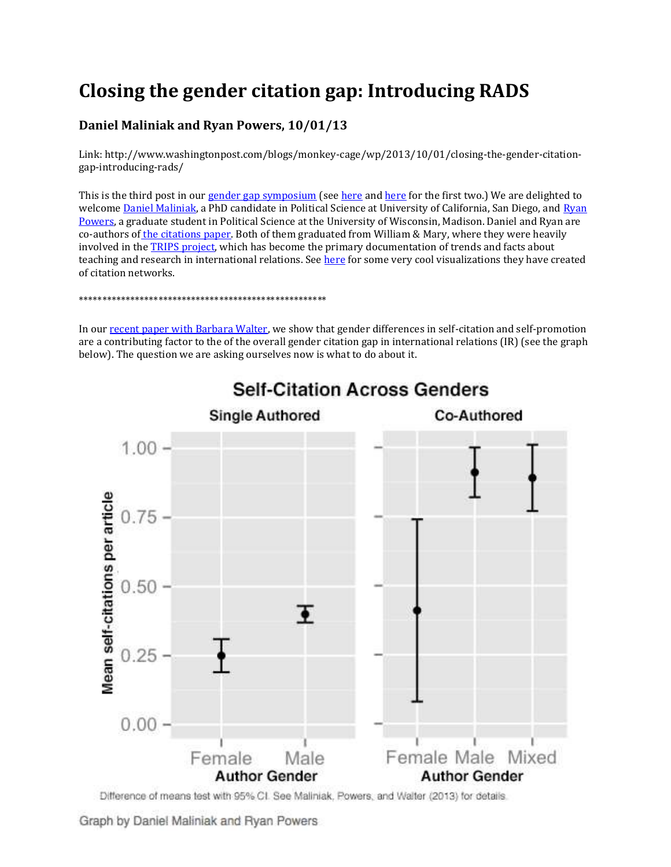# **Closing the gender citation gap: Introducing RADS**

## **Daniel Maliniak and Ryan Powers, 10/01/13**

Link: http://www.washingtonpost.com/blogs/monkey-cage/wp/2013/10/01/closing-the-gender-citationgap-introducing-rads/

This is the third post in our [gender gap symposium](http://www.washingtonpost.com/blogs/monkey-cage/wp/2013/09/30/introducing-the-monkey-cage-gender-gap-symposium/) (see [here](http://www.washingtonpost.com/blogs/monkey-cage/wp/2013/09/30/explaining-the-gender-gap/) an[d here](http://www.washingtonpost.com/blogs/monkey-cage/wp/2013/10/01/how-to-reduce-the-gender-gap-in-one-relatively-easy-step/) for the first two.) We are delighted to welcome **Daniel Maliniak**, a PhD candidate in Political Science at University of California, San Diego, and Ryan [Powers,](https://mywebspace.wisc.edu/rpowers/) a graduate student in Political Science at the University of Wisconsin, Madison. Daniel and Ryan are co-authors of [the citations paper.](http://journals.cambridge.org/action/displayAbstract?fromPage=online&aid=8990966) Both of them graduated from William & Mary, where they were heavily involved in th[e TRIPS project,](http://www.wm.edu/offices/itpir/trip/?svr=web) which has become the primary documentation of trends and facts about teaching and research in international relations. See [here](https://mywebspace.wisc.edu/rpowers/web/ir_net/) for some very cool visualizations they have created of citation networks.

#### \*\*\*\*\*\*\*\*\*\*\*\*\*\*\*\*\*\*\*\*\*\*\*\*\*\*\*\*\*\*\*\*\*\*\*\*\*\*\*\*\*\*\*\*\*\*\*\*\*\*\*\*\*

In our [recent paper with Barbara Walter,](http://journals.cambridge.org/action/displayAbstract?fromPage=online&aid=8990966) we show that gender differences in self-citation and self-promotion are a contributing factor to the of the overall gender citation gap in international relations (IR) (see the graph below). The question we are asking ourselves now is what to do about it.



**Self-Citation Across Genders** 

Graph by Daniel Maliniak and Ryan Powers

Difference of means test with 95% CI. See Maliniak, Powers, and Walter (2013) for details.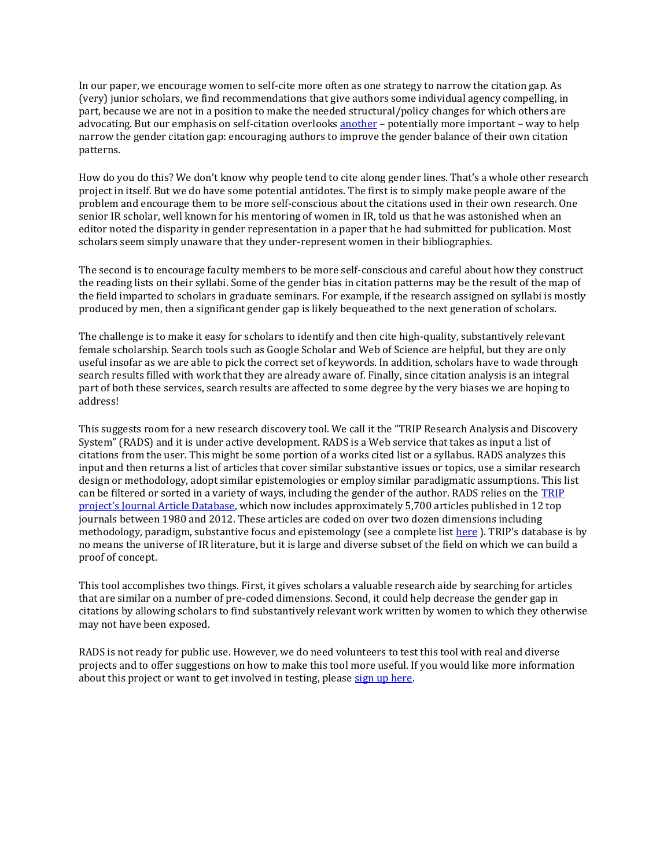In our paper, we encourage women to self-cite more often as one strategy to narrow the citation gap. As (very) junior scholars, we find recommendations that give authors some individual agency compelling, in part, because we are not in a position to make the needed structural/policy changes for which others are advocating. But our emphasis on self-citation overlook[s another](http://www.whiteoliphaunt.com/duckofminerva/2013/08/the-citation-gap-results-of-a-self-experiment.html) – potentially more important – way to help narrow the gender citation gap: encouraging authors to improve the gender balance of their own citation patterns.

How do you do this? We don't know why people tend to cite along gender lines. That's a whole other research project in itself. But we do have some potential antidotes. The first is to simply make people aware of the problem and encourage them to be more self-conscious about the citations used in their own research. One senior IR scholar, well known for his mentoring of women in IR, told us that he was astonished when an editor noted the disparity in gender representation in a paper that he had submitted for publication. Most scholars seem simply unaware that they under-represent women in their bibliographies.

The second is to encourage faculty members to be more self-conscious and careful about how they construct the reading lists on their syllabi. Some of the gender bias in citation patterns may be the result of the map of the field imparted to scholars in graduate seminars. For example, if the research assigned on syllabi is mostly produced by men, then a significant gender gap is likely bequeathed to the next generation of scholars.

The challenge is to make it easy for scholars to identify and then cite high-quality, substantively relevant female scholarship. Search tools such as Google Scholar and Web of Science are helpful, but they are only useful insofar as we are able to pick the correct set of keywords. In addition, scholars have to wade through search results filled with work that they are already aware of. Finally, since citation analysis is an integral part of both these services, search results are affected to some degree by the very biases we are hoping to address!

This suggests room for a new research discovery tool. We call it the "TRIP Research Analysis and Discovery System" (RADS) and it is under active development. RADS is a Web service that takes as input a list of citations from the user. This might be some portion of a works cited list or a syllabus. RADS analyzes this input and then returns a list of articles that cover similar substantive issues or topics, use a similar research design or methodology, adopt similar epistemologies or employ similar paradigmatic assumptions. This list can be filtered or sorted in a variety of ways, including the gender of the author. RADS relies on the TRIP [project's Journal Article Database](http://www.wm.edu/offices/itpir/trip/?svr=web), which now includes approximately 5,700 articles published in 12 top journals between 1980 and 2012. These articles are coded on over two dozen dimensions including methodology, paradigm, substantive focus and epistemology (see a complete list [here](https://mywebspace.wisc.edu/rpowers/files/trip_codebook_2013.pdf) ). TRIP's database is by no means the universe of IR literature, but it is large and diverse subset of the field on which we can build a proof of concept.

This tool accomplishes two things. First, it gives scholars a valuable research aide by searching for articles that are similar on a number of pre-coded dimensions. Second, it could help decrease the gender gap in citations by allowing scholars to find substantively relevant work written by women to which they otherwise may not have been exposed.

RADS is not ready for public use. However, we do need volunteers to test this tool with real and diverse projects and to offer suggestions on how to make this tool more useful. If you would like more information about this project or want to get involved in testing, please [sign up here.](http://eepurl.com/FYBE1)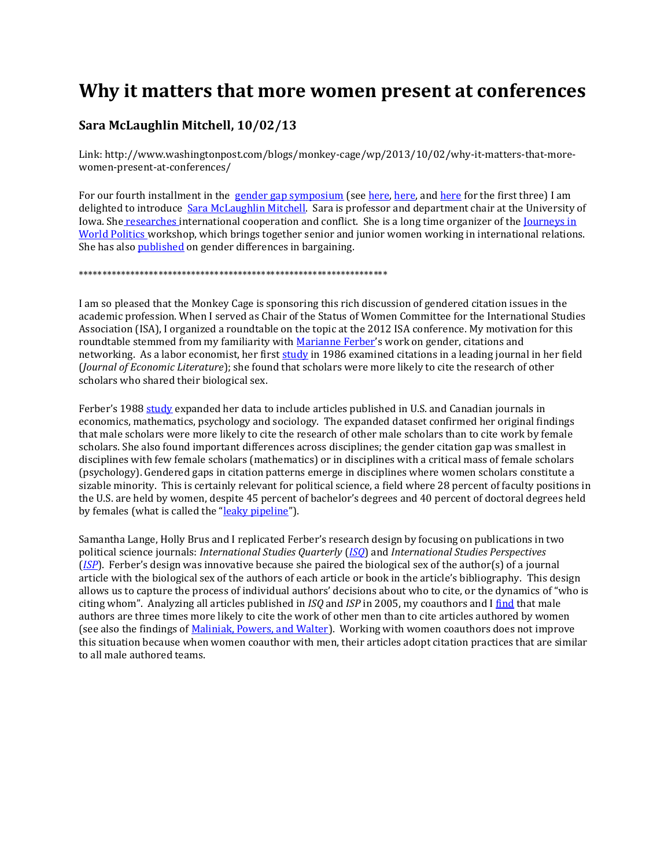## **Why it matters that more women present at conferences**

### **Sara McLaughlin Mitchell, 10/02/13**

Link: http://www.washingtonpost.com/blogs/monkey-cage/wp/2013/10/02/why-it-matters-that-morewomen-present-at-conferences/

For our fourth installment in the [gender gap symposium](http://www.washingtonpost.com/blogs/monkey-cage/wp/2013/09/30/introducing-the-monkey-cage-gender-gap-symposium/) (see [here,](http://www.washingtonpost.com/blogs/monkey-cage/wp/2013/09/30/explaining-the-gender-gap/) [here,](http://www.washingtonpost.com/blogs/monkey-cage/wp/2013/10/01/how-to-reduce-the-gender-gap-in-one-relatively-easy-step/) and [here](http://www.washingtonpost.com/blogs/monkey-cage/wp/2013/10/01/closing-the-gender-citation-gap-introducing-rads/) for the first three) I am delighted to introduce [Sara McLaughlin Mitchell.](http://www.saramitchell.org/) Sara is professor and department chair at the University of Iowa. She [researches i](http://www.saramitchell.org/research.html)nternational cooperation and conflict. She is a long time organizer of the Journeys in [World Politics w](http://www.saramitchell.org/journeys.html)orkshop, which brings together senior and junior women working in international relations. She has also **[published](http://journals.cambridge.org/download.php?file=%2FPSC%2FPSC46_02%2FS1049096513000073a.pdf&code=843da20ede6e5fced69390f92ddf4fcd)** on gender differences in bargaining.

#### \*\*\*\*\*\*\*\*\*\*\*\*\*\*\*\*\*\*\*\*\*\*\*\*\*\*\*\*\*\*\*\*\*\*\*\*\*\*\*\*\*\*\*\*\*\*\*\*\*\*\*\*\*\*\*\*\*\*\*\*\*\*\*\*\*\*

I am so pleased that the Monkey Cage is sponsoring this rich discussion of gendered citation issues in the academic profession. When I served as Chair of the Status of Women Committee for the International Studies Association (ISA), I organized a roundtable on the topic at the 2012 ISA conference. My motivation for this roundtable stemmed from my familiarity wit[h Marianne Ferber](https://www.google.com/url?sa=t&rct=j&q=&esrc=s&source=web&cd=1&cad=rja&ved=0CC4QFjAA&url=http%3A%2F%2Fen.wikipedia.org%2Fwiki%2FMarianne_Ferber&ei=-fxLUpzCKof-9gSzloH4Cg&usg=AFQjCNEPJtepfLGEItfGP2YTW3bvC86Mew&sig2=65Qxv90vAn49Tz4VDg4fUw&bvm=bv.53371865,d.eWU)'s work on gender, citations and networking. As a labor economist, her firs[t study](http://www.jstor.org/discover/10.2307/3174059?uid=3739256&uid=2&uid=4&sid=21102703323417) in 1986 examined citations in a leading journal in her field (*Journal of Economic Literature*); she found that scholars were more likely to cite the research of other scholars who shared their biological sex.

Ferber's 1988 [study](http://www.jstor.org/discover/10.2307/190470?uid=3739256&uid=2&uid=4&sid=21102703323417) expanded her data to include articles published in U.S. and Canadian journals in economics, mathematics, psychology and sociology. The expanded dataset confirmed her original findings that male scholars were more likely to cite the research of other male scholars than to cite work by female scholars. She also found important differences across disciplines; the gender citation gap was smallest in disciplines with few female scholars (mathematics) or in disciplines with a critical mass of female scholars (psychology). Gendered gaps in citation patterns emerge in disciplines where women scholars constitute a sizable minority. This is certainly relevant for political science, a field where 28 percent of faculty positions in the U.S. are held by women, despite 45 percent of bachelor's degrees and 40 percent of doctoral degrees held by females (what is called the "[leaky pipeline](http://journals.cambridge.org/action/displayAbstract?fromPage=online&aid=8874434)").

Samantha Lange, Holly Brus and I replicated Ferber's research design by focusing on publications in two political science journals: *International Studies Quarterly* (*[ISQ](http://onlinelibrary.wiley.com/journal/10.1111/%28ISSN%291468-2478)*) and *International Studies Perspectives* (*[ISP](http://onlinelibrary.wiley.com/journal/10.1111/%28ISSN%291528-3585)*). Ferber's design was innovative because she paired the biological sex of the author(s) of a journal article with the biological sex of the authors of each article or book in the article's bibliography. This design allows us to capture the process of individual authors' decisions about who to cite, or the dynamics of "who is citing whom". Analyzing all articles published in *ISQ* and *ISP* in 2005, my coauthors and [I find](http://onlinelibrary.wiley.com/doi/10.1111/insp.12026/full) that male authors are three times more likely to cite the work of other men than to cite articles authored by women (see also the findings o[f Maliniak, Powers, and Walter\)](http://themonkeycage.org/2013/04/05/gender-and-citation-in-international-relations/). Working with women coauthors does not improve this situation because when women coauthor with men, their articles adopt citation practices that are similar to all male authored teams.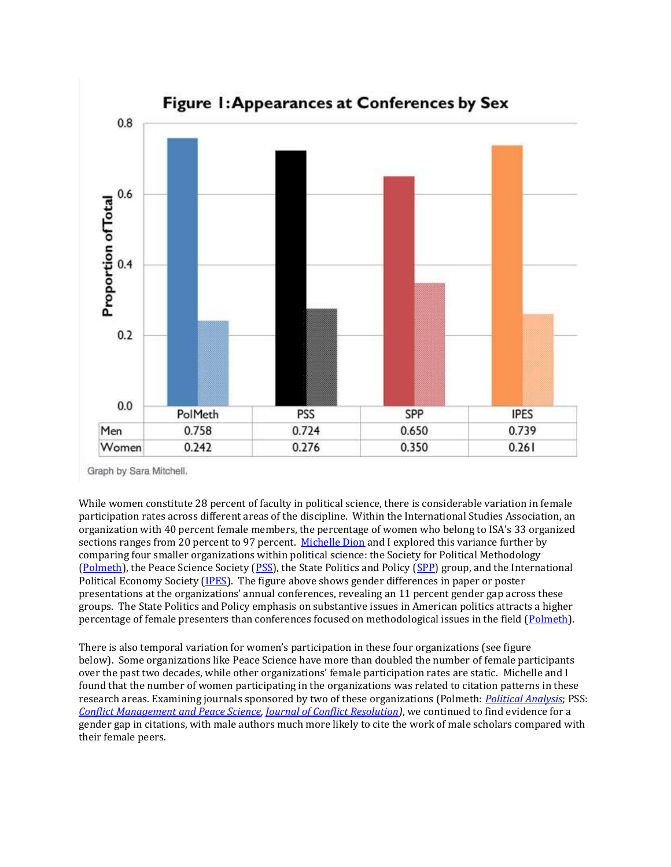

Graph by Sara Mitchell.

While women constitute 28 percent of faculty in political science, there is considerable variation in female participation rates across different areas of the discipline. Within the International Studies Association, an organization with 40 percent female members, the percentage of women who belong to ISA's 33 organized sections ranges from 20 percent to 97 percent. [Michelle Dion](https://www.google.com/url?sa=t&rct=j&q=&esrc=s&source=web&cd=1&cad=rja&ved=0CC4QFjAA&url=http%3A%2F%2Fmichelledion.com%2F&ei=ehJMUryEPYW29gSu24GwBQ&usg=AFQjCNFUyGPqOVFKy62shOPbBAfhVrUKfQ&sig2=5M9XHNS5eTYYyiG-KEPaiw&bvm=bv.53371865,d.eWU) and I explored this variance further by comparing four smaller organizations within political science: the Society for Political Methodology [\(Polmeth\)](http://polmeth.wustl.edu/), the Peace Science Society [\(PSS\)](http://pss.la.psu.edu/), the State Politics and Policy [\(SPP\)](http://www.apsanet.org/content_57121.cfm) group, and the International Political Economy Society [\(IPES\)](https://ncgg.princeton.edu/IPES/). The figure above shows gender differences in paper or poster presentations at the organizations' annual conferences, revealing an 11 percent gender gap across these groups. The State Politics and Policy emphasis on substantive issues in American politics attracts a higher percentage of female presenters than conferences focused on methodological issues in the field [\(Polmeth\)](http://polmeth.wustl.edu/).

There is also temporal variation for women's participation in these four organizations (see figure below). Some organizations like Peace Science have more than doubled the number of female participants over the past two decades, while other organizations' female participation rates are static. Michelle and I found that the number of women participating in the organizations was related to citation patterns in these research areas. Examining journals sponsored by two of these organizations (Polmeth: *[Political Analysis](http://pan.oxfordjournals.org/)*; PSS: *[Conflict Management and Peace Science,](http://cmp.sagepub.com/) [Journal of Conflict Resolution\)](http://jcr.sagepub.com/)*, we continued to find evidence for a gender gap in citations, with male authors much more likely to cite the work of male scholars compared with their female peers.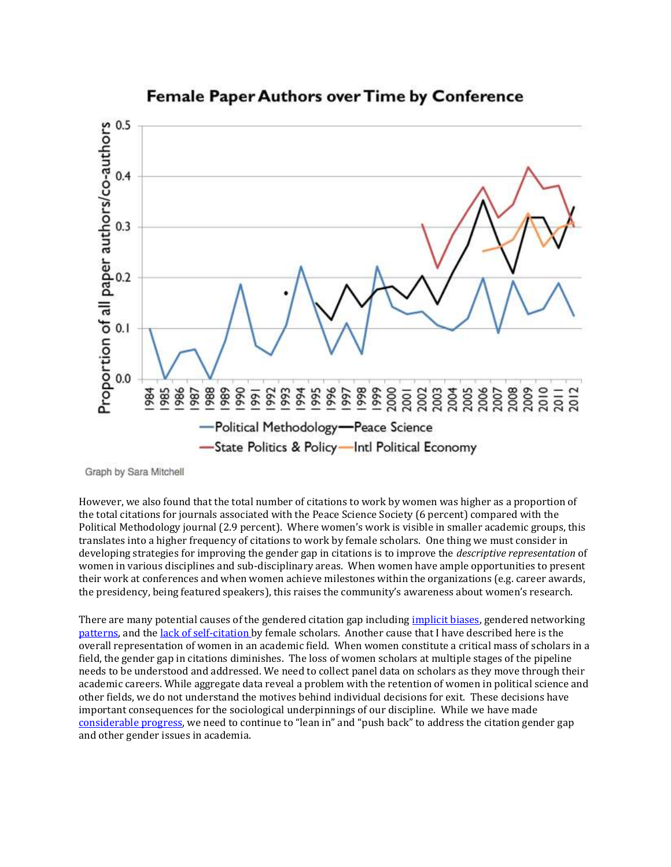

## **Female Paper Authors over Time by Conference**

Graph by Sara Mitchell

However, we also found that the total number of citations to work by women was higher as a proportion of the total citations for journals associated with the Peace Science Society (6 percent) compared with the Political Methodology journal (2.9 percent). Where women's work is visible in smaller academic groups, this translates into a higher frequency of citations to work by female scholars. One thing we must consider in developing strategies for improving the gender gap in citations is to improve the *descriptive representation* of women in various disciplines and sub-disciplinary areas. When women have ample opportunities to present their work at conferences and when women achieve milestones within the organizations (e.g. career awards, the presidency, being featured speakers), this raises the community's awareness about women's research.

There are many potential causes of the gendered citation gap including *implicit biases*, gendered networking [patterns,](http://www.whiteoliphaunt.com/duckofminerva/2013/08/the-glass-half-empty-gendered-problems-in-academic-networking.html) and th[e lack of self-citation b](http://www.washingtonpost.com/blogs/monkey-cage/wp/2013/10/01/closing-the-gender-citation-gap-introducing-rads/)y female scholars. Another cause that I have described here is the overall representation of women in an academic field. When women constitute a critical mass of scholars in a field, the gender gap in citations diminishes. The loss of women scholars at multiple stages of the pipeline needs to be understood and addressed. We need to collect panel data on scholars as they move through their academic careers. While aggregate data reveal a problem with the retention of women in political science and other fields, we do not understand the motives behind individual decisions for exit. These decisions have important consequences for the sociological underpinnings of our discipline. While we have made [considerable progress](http://www.whiteoliphaunt.com/duckofminerva/2013/08/part-ii-the-glass-half-full-gendered-progress-in-academic-networking.html), we need to continue to "lean in" and "push back" to address the citation gender gap and other gender issues in academia.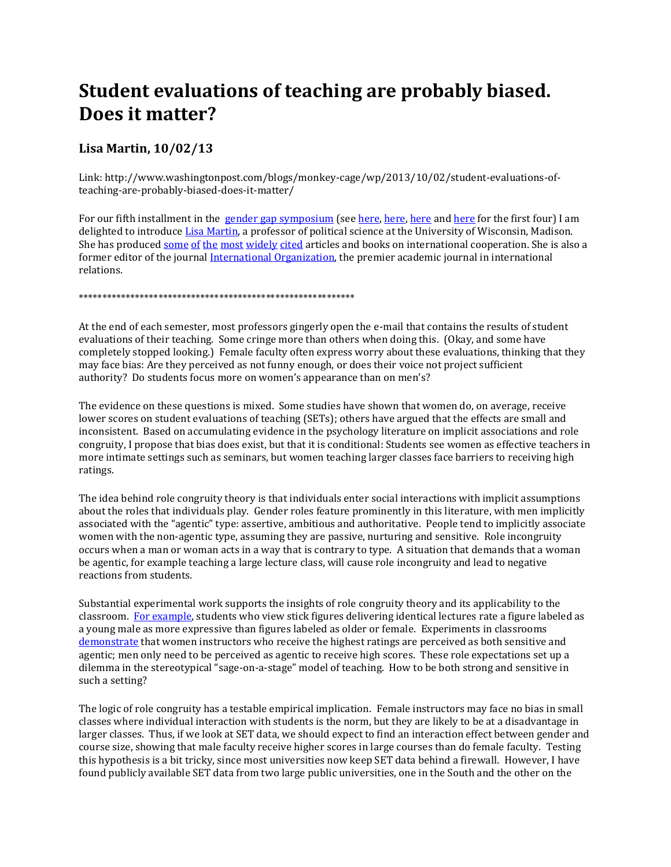## **Student evaluations of teaching are probably biased. Does it matter?**

### **Lisa Martin, 10/02/13**

Link: http://www.washingtonpost.com/blogs/monkey-cage/wp/2013/10/02/student-evaluations-ofteaching-are-probably-biased-does-it-matter/

For our fifth installment in the [gender gap symposium](http://www.washingtonpost.com/blogs/monkey-cage/wp/2013/09/30/introducing-the-monkey-cage-gender-gap-symposium/) (see [here,](http://www.washingtonpost.com/blogs/monkey-cage/wp/2013/10/01/how-to-reduce-the-gender-gap-in-one-relatively-easy-step/) [here](http://www.washingtonpost.com/blogs/monkey-cage/wp/2013/10/01/closing-the-gender-citation-gap-introducing-rads/), here an[d here](http://www.washingtonpost.com/blogs/monkey-cage/wp/2013/10/02/why-it-matters-that-more-women-present-at-conferences/) for the first four) I am delighted to introduce Lisa [Martin,](https://mywebspace.wisc.edu/llmartin3/) a professor of political science at the University of Wisconsin, Madison. She has produce[d some](http://muse.jhu.edu/journals/international_security/v020/20.1.keohane.html) [of](http://books.google.com/books?hl=en&lr=&id=9bbRR1qwfOgC&oi=fnd&pg=PR7&dq=Lisa+Martin&ots=_tjQZtd-CS&sig=SvqfazsyxvqwoxxVTLwjorUDfao) [the](http://journals.cambridge.org/production/action/cjoGetFulltext?fulltextid=173294) [most](http://books.google.com/books?hl=en&lr=&id=DEY9iCo6_3IC&oi=fnd&pg=PP2&dq=Lisa+Martin&ots=matwp1DJLu&sig=N7URQOm6uz8maVY-pa38kkuUGgU) [widely](http://journals.cambridge.org/production/action/cjoGetFulltext?fulltextid=4309836) [cited](http://journals.cambridge.org/production/action/cjoGetFulltext?fulltextid=164748) articles and books on international cooperation. She is also a former editor of the journal [International Organization,](https://www.google.com/url?sa=t&rct=j&q=&esrc=s&source=web&cd=1&cad=rja&ved=0CC4QFjAA&url=http%3A%2F%2Fjournals.cambridge.org%2Faction%2FdisplayJournal%3Fjid%3DINO&ei=-jRMUoy5B4fg8wTkuICIBA&usg=AFQjCNFB7j65USKFZbVYrIYwQxzeAiIdQQ&sig2=1dpuPcNqOjEjzPyJsu4Aew&bvm=bv.53371865,d.eWU) the premier academic journal in international relations.

\*\*\*\*\*\*\*\*\*\*\*\*\*\*\*\*\*\*\*\*\*\*\*\*\*\*\*\*\*\*\*\*\*\*\*\*\*\*\*\*\*\*\*\*\*\*\*\*\*\*\*\*\*\*\*\*\*\*\*

At the end of each semester, most professors gingerly open the e-mail that contains the results of student evaluations of their teaching. Some cringe more than others when doing this. (Okay, and some have completely stopped looking.) Female faculty often express worry about these evaluations, thinking that they may face bias: Are they perceived as not funny enough, or does their voice not project sufficient authority? Do students focus more on women's appearance than on men's?

The evidence on these questions is mixed. Some studies have shown that women do, on average, receive lower scores on student evaluations of teaching (SETs); others have argued that the effects are small and inconsistent. Based on accumulating evidence in the psychology literature on implicit associations and role congruity, I propose that bias does exist, but that it is conditional: Students see women as effective teachers in more intimate settings such as seminars, but women teaching larger classes face barriers to receiving high ratings.

The idea behind role congruity theory is that individuals enter social interactions with implicit assumptions about the roles that individuals play. Gender roles feature prominently in this literature, with men implicitly associated with the "agentic" type: assertive, ambitious and authoritative. People tend to implicitly associate women with the non-agentic type, assuming they are passive, nurturing and sensitive. Role incongruity occurs when a man or woman acts in a way that is contrary to type. A situation that demands that a woman be agentic, for example teaching a large lecture class, will cause role incongruity and lead to negative reactions from students.

Substantial experimental work supports the insights of role congruity theory and its applicability to the classroom. [For example,](http://link.springer.com/article/10.1023/A:1025832707002#page-1) students who view stick figures delivering identical lectures rate a figure labeled as a young male as more expressive than figures labeled as older or female. Experiments in classrooms [demonstrate](http://www.sciencedirect.com/science/article/pii/S0749597808000046) that women instructors who receive the highest ratings are perceived as both sensitive and agentic; men only need to be perceived as agentic to receive high scores. These role expectations set up a dilemma in the stereotypical "sage-on-a-stage" model of teaching. How to be both strong and sensitive in such a setting?

The logic of role congruity has a testable empirical implication. Female instructors may face no bias in small classes where individual interaction with students is the norm, but they are likely to be at a disadvantage in larger classes. Thus, if we look at SET data, we should expect to find an interaction effect between gender and course size, showing that male faculty receive higher scores in large courses than do female faculty. Testing this hypothesis is a bit tricky, since most universities now keep SET data behind a firewall. However, I have found publicly available SET data from two large public universities, one in the South and the other on the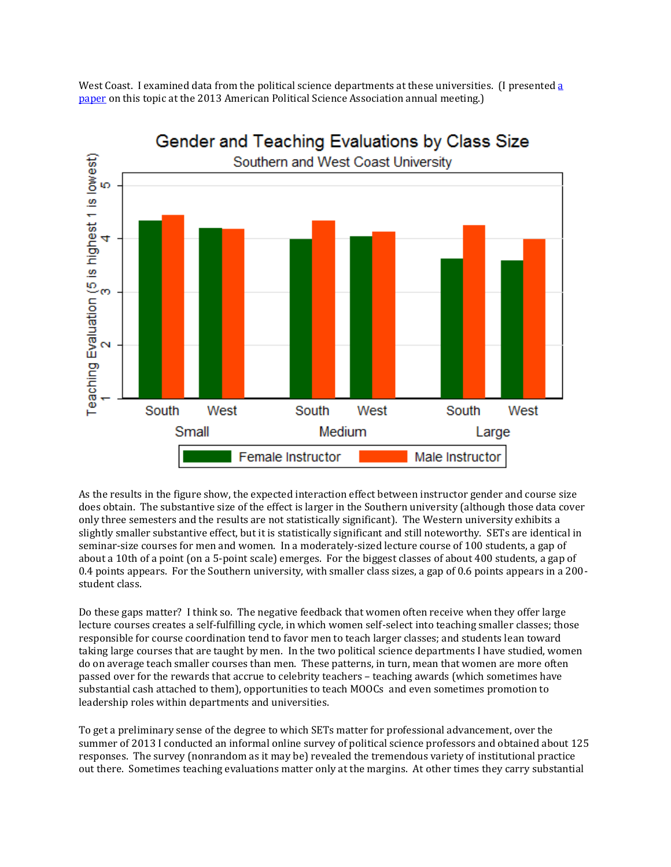West Coast. I examined data from the political science departments at these universities. (I presented a [paper](http://www.ssrn.com/abstract=2303332) on this topic at the 2013 American Political Science Association annual meeting.)



As the results in the figure show, the expected interaction effect between instructor gender and course size does obtain. The substantive size of the effect is larger in the Southern university (although those data cover only three semesters and the results are not statistically significant). The Western university exhibits a slightly smaller substantive effect, but it is statistically significant and still noteworthy. SETs are identical in seminar-size courses for men and women. In a moderately-sized lecture course of 100 students, a gap of about a 10th of a point (on a 5-point scale) emerges. For the biggest classes of about 400 students, a gap of 0.4 points appears. For the Southern university, with smaller class sizes, a gap of 0.6 points appears in a 200 student class.

Do these gaps matter? I think so. The negative feedback that women often receive when they offer large lecture courses creates a self-fulfilling cycle, in which women self-select into teaching smaller classes; those responsible for course coordination tend to favor men to teach larger classes; and students lean toward taking large courses that are taught by men. In the two political science departments I have studied, women do on average teach smaller courses than men. These patterns, in turn, mean that women are more often passed over for the rewards that accrue to celebrity teachers – teaching awards (which sometimes have substantial cash attached to them), opportunities to teach MOOCs and even sometimes promotion to leadership roles within departments and universities.

To get a preliminary sense of the degree to which SETs matter for professional advancement, over the summer of 2013 I conducted an informal online survey of political science professors and obtained about 125 responses. The survey (nonrandom as it may be) revealed the tremendous variety of institutional practice out there. Sometimes teaching evaluations matter only at the margins. At other times they carry substantial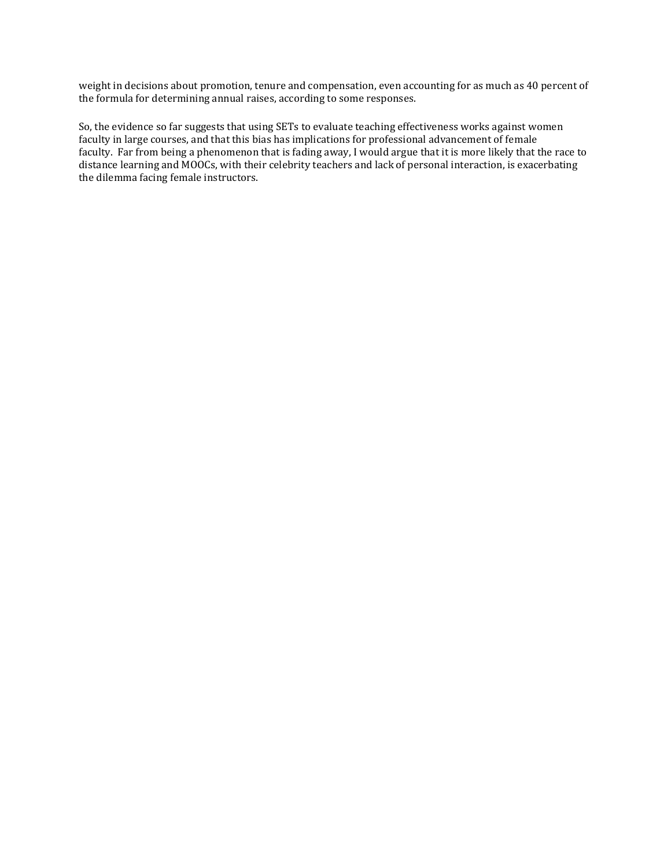weight in decisions about promotion, tenure and compensation, even accounting for as much as 40 percent of the formula for determining annual raises, according to some responses.

So, the evidence so far suggests that using SETs to evaluate teaching effectiveness works against women faculty in large courses, and that this bias has implications for professional advancement of female faculty. Far from being a phenomenon that is fading away, I would argue that it is more likely that the race to distance learning and MOOCs, with their celebrity teachers and lack of personal interaction, is exacerbating the dilemma facing female instructors.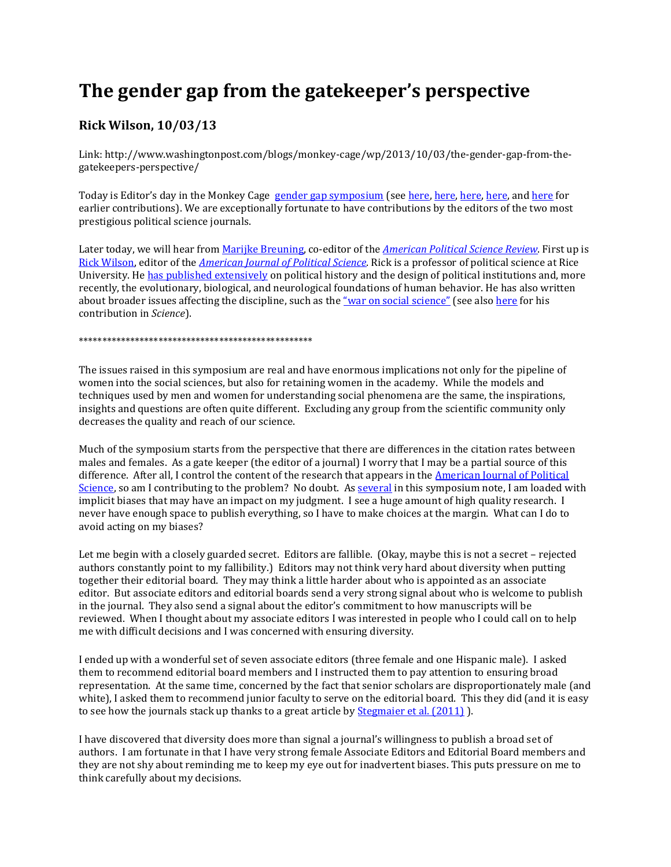# **The gender gap from the gatekeeper's perspective**

### **Rick Wilson, 10/03/13**

Link: http://www.washingtonpost.com/blogs/monkey-cage/wp/2013/10/03/the-gender-gap-from-thegatekeepers-perspective/

Today is Editor's day in the Monkey Cage [gender gap symposium](http://www.washingtonpost.com/blogs/monkey-cage/wp/2013/09/30/introducing-the-monkey-cage-gender-gap-symposium/) (see [here,](http://www.washingtonpost.com/blogs/monkey-cage/wp/2013/10/02/why-it-matters-that-more-women-present-at-conferences/) here, here, here, an[d here](http://www.washingtonpost.com/blogs/monkey-cage/wp/2013/10/02/student-evaluations-of-teaching-are-probably-biased-does-it-matter/) for earlier contributions). We are exceptionally fortunate to have contributions by the editors of the two most prestigious political science journals.

Later today, we will hear from [Marijke Breuning,](https://sustainable.unt.edu/marijke-breuning) co-editor of the *[American Political Science Review](https://www.google.com/url?sa=t&rct=j&q=&esrc=s&source=web&cd=1&cad=rja&ved=0CC4QFjAA&url=https%3A%2F%2Fwww.apsanet.org%2Fsection_327.cfm&ei=43hNUpXeDZTi9gTp2oHYBg&usg=AFQjCNE04o5LB1u8ZSW4cQ2wNEnzU0kw8A&sig2=8KYc71LicZp9_OA_5n295g&bvm=bv.53537100,d.eWU)*. First up is [Rick Wilson,](http://rkw.rice.edu/) editor of the *[American Journal of Political Science](http://ajps.org/)*. Rick is a professor of political science at Rice University. H[e has published extensively](http://rkw.rice.edu/articles.html) on political history and the design of political institutions and, more recently, the evolutionary, biological, and neurological foundations of human behavior. He has also written about broader issues affecting the discipline, such as the ["war on social science"](http://www.symposium-magazine.com/the-war-on-social-science-rick-k-wilson/) (see als[o here](http://themonkeycage.org/2013/05/14/if-politics-determines-what-is-palatable-we-could-be-picked-off-one-at-a-time/) for his contribution in *Science*).

\*\*\*\*\*\*\*\*\*\*\*\*\*\*\*\*\*\*\*\*\*\*\*\*\*\*\*\*\*\*\*\*\*\*\*\*\*\*\*\*\*\*\*\*\*\*\*\*\*\*

The issues raised in this symposium are real and have enormous implications not only for the pipeline of women into the social sciences, but also for retaining women in the academy. While the models and techniques used by men and women for understanding social phenomena are the same, the inspirations, insights and questions are often quite different. Excluding any group from the scientific community only decreases the quality and reach of our science.

Much of the symposium starts from the perspective that there are differences in the citation rates between males and females. As a gate keeper (the editor of a journal) I worry that I may be a partial source of this difference. After all, I control the content of the research that appears in the [American Journal of Political](http://ajps.org/)  [Science,](http://ajps.org/) so am I contributing to the problem? No doubt. As [several](http://www.washingtonpost.com/blogs/monkey-cage/wp/2013/09/30/explaining-the-gender-gap/) in this symposium note, I am loaded with implicit biases that may have an impact on my judgment. I see a huge amount of high quality research. I never have enough space to publish everything, so I have to make choices at the margin. What can I do to avoid acting on my biases?

Let me begin with a closely guarded secret. Editors are fallible. (Okay, maybe this is not a secret – rejected authors constantly point to my fallibility.) Editors may not think very hard about diversity when putting together their editorial board. They may think a little harder about who is appointed as an associate editor. But associate editors and editorial boards send a very strong signal about who is welcome to publish in the journal. They also send a signal about the editor's commitment to how manuscripts will be reviewed. When I thought about my associate editors I was interested in people who I could call on to help me with difficult decisions and I was concerned with ensuring diversity.

I ended up with a wonderful set of seven associate editors (three female and one Hispanic male). I asked them to recommend editorial board members and I instructed them to pay attention to ensuring broad representation. At the same time, concerned by the fact that senior scholars are disproportionately male (and white), I asked them to recommend junior faculty to serve on the editorial board. This they did (and it is easy to see how the journals stack up thanks to a great article by **Stegmaier et al.** (2011) ).

I have discovered that diversity does more than signal a journal's willingness to publish a broad set of authors. I am fortunate in that I have very strong female Associate Editors and Editorial Board members and they are not shy about reminding me to keep my eye out for inadvertent biases. This puts pressure on me to think carefully about my decisions.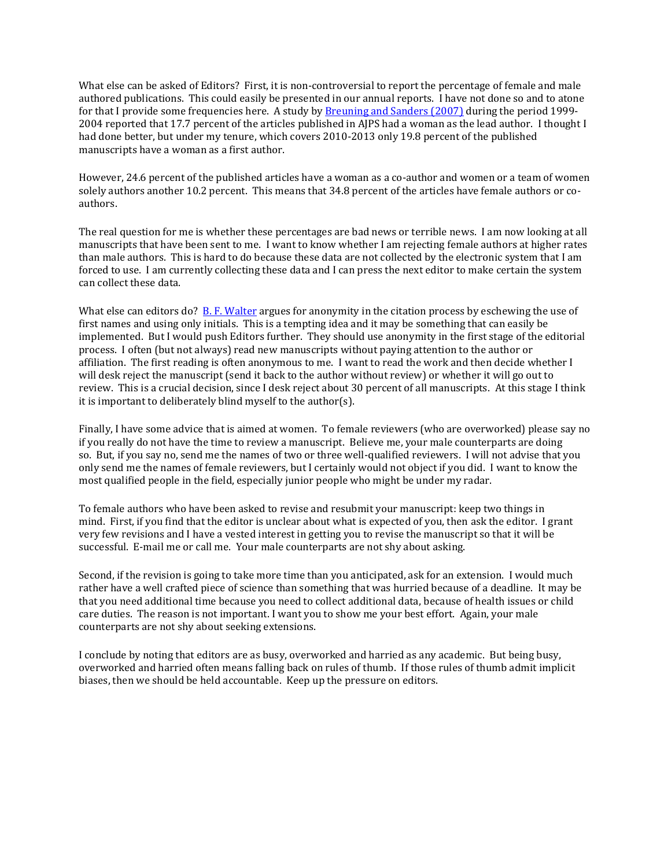What else can be asked of Editors? First, it is non-controversial to report the percentage of female and male authored publications. This could easily be presented in our annual reports. I have not done so and to atone for that I provide some frequencies here. A study by [Breuning and Sanders \(2007\)](https://journals.cambridge.org/action/displayAbstract?fromPage=online&aid=1004444&fulltextType=RA&fileId=S1049096507070564) during the period 1999- 2004 reported that 17.7 percent of the articles published in AJPS had a woman as the lead author. I thought I had done better, but under my tenure, which covers 2010-2013 only 19.8 percent of the published manuscripts have a woman as a first author.

However, 24.6 percent of the published articles have a woman as a co-author and women or a team of women solely authors another 10.2 percent. This means that 34.8 percent of the articles have female authors or coauthors.

The real question for me is whether these percentages are bad news or terrible news. I am now looking at all manuscripts that have been sent to me. I want to know whether I am rejecting female authors at higher rates than male authors. This is hard to do because these data are not collected by the electronic system that I am forced to use. I am currently collecting these data and I can press the next editor to make certain the system can collect these data.

What else can editors do? **[B. F. Walter](http://www.washingtonpost.com/blogs/monkey-cage/wp/2013/10/01/how-to-reduce-the-gender-gap-in-one-relatively-easy-step/)** argues for anonymity in the citation process by eschewing the use of first names and using only initials. This is a tempting idea and it may be something that can easily be implemented. But I would push Editors further. They should use anonymity in the first stage of the editorial process. I often (but not always) read new manuscripts without paying attention to the author or affiliation. The first reading is often anonymous to me. I want to read the work and then decide whether I will desk reject the manuscript (send it back to the author without review) or whether it will go out to review. This is a crucial decision, since I desk reject about 30 percent of all manuscripts. At this stage I think it is important to deliberately blind myself to the author(s).

Finally, I have some advice that is aimed at women. To female reviewers (who are overworked) please say no if you really do not have the time to review a manuscript. Believe me, your male counterparts are doing so. But, if you say no, send me the names of two or three well-qualified reviewers. I will not advise that you only send me the names of female reviewers, but I certainly would not object if you did. I want to know the most qualified people in the field, especially junior people who might be under my radar.

To female authors who have been asked to revise and resubmit your manuscript: keep two things in mind. First, if you find that the editor is unclear about what is expected of you, then ask the editor. I grant very few revisions and I have a vested interest in getting you to revise the manuscript so that it will be successful. E-mail me or call me. Your male counterparts are not shy about asking.

Second, if the revision is going to take more time than you anticipated, ask for an extension. I would much rather have a well crafted piece of science than something that was hurried because of a deadline. It may be that you need additional time because you need to collect additional data, because of health issues or child care duties. The reason is not important. I want you to show me your best effort. Again, your male counterparts are not shy about seeking extensions.

I conclude by noting that editors are as busy, overworked and harried as any academic. But being busy, overworked and harried often means falling back on rules of thumb. If those rules of thumb admit implicit biases, then we should be held accountable. Keep up the pressure on editors.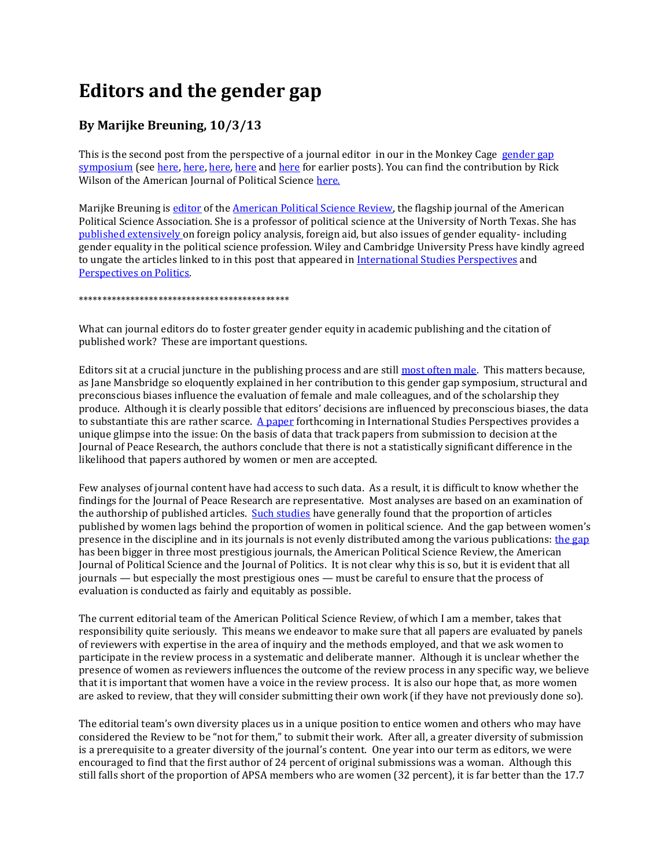# **Editors and the gender gap**

### **By Marijke Breuning, 10/3/13**

This is the second post from the perspective of a journal editor in our in the Monkey Cage gender gap [symposium](http://www.washingtonpost.com/blogs/monkey-cage/wp/2013/09/30/introducing-the-monkey-cage-gender-gap-symposium/) (see [here,](http://www.washingtonpost.com/blogs/monkey-cage/wp/2013/09/30/explaining-the-gender-gap/) [here,](http://www.washingtonpost.com/blogs/monkey-cage/wp/2013/10/01/how-to-reduce-the-gender-gap-in-one-relatively-easy-step/) [here,](http://www.washingtonpost.com/blogs/monkey-cage/wp/2013/10/01/closing-the-gender-citation-gap-introducing-rads/) [here](http://www.washingtonpost.com/blogs/monkey-cage/wp/2013/10/02/why-it-matters-that-more-women-present-at-conferences/) and [here](http://www.washingtonpost.com/blogs/monkey-cage/wp/2013/10/02/student-evaluations-of-teaching-are-probably-biased-does-it-matter/) for earlier posts). You can find the contribution by Rick Wilson of the American Journal of Political Science [here](http://www.washingtonpost.com/blogs/monkey-cage/wp/2013/10/03/the-gender-gap-from-the-gatekeepers-perspective/)*.*

Marijke Breuning is [editor](https://www.apsanet.org/nextAPSReditors/index.cfm) of th[e American Political Science Review,](https://www.apsanet.org/utils/journal.cfm?Journal=APSR&CFID=29808489&CFTOKEN=88675765) the flagship journal of the American Political Science Association. She is a professor of political science at the University of North Texas. She has [published extensively o](https://faculty.unt.edu/editprofile.php?pid=1259&onlyview=1)n foreign policy analysis, foreign aid, but also issues of gender equality- including gender equality in the political science profession. Wiley and Cambridge University Press have kindly agreed to ungate the articles linked to in this post that appeared i[n International Studies Perspectives](http://onlinelibrary.wiley.com/journal/10.1111/%28ISSN%291528-3585) and [Perspectives on Politics.](https://www.google.com/url?sa=t&rct=j&q=&esrc=s&source=web&cd=2&cad=rja&ved=0CDQQFjAB&url=http%3A%2F%2Fjournals.cambridge.org%2Faction%2FdisplayJournal%3Fjid%3DPPS&ei=DINNUoGQEY3s8gTz5ICoDA&usg=AFQjCNE6DinJRYMnzjmDHLjn2dBzjL76qw&sig2=z08U3T63p6IWEvyovYjbrQ&bvm=bv.53537100,d.eWU)

#### \*\*\*\*\*\*\*\*\*\*\*\*\*\*\*\*\*\*\*\*\*\*\*\*\*\*\*\*\*\*\*\*\*\*\*\*\*\*\*\*\*\*\*\*\*

What can journal editors do to foster greater gender equity in academic publishing and the citation of published work? These are important questions.

Editors sit at a crucial juncture in the publishing process and are still **most often male**. This matters because, as Jane Mansbridge so eloquently explained in her contribution to this gender gap symposium, structural and preconscious biases influence the evaluation of female and male colleagues, and of the scholarship they produce. Although it is clearly possible that editors' decisions are influenced by preconscious biases, the data to substantiate this are rather scarce. [A paper](http://onlinelibrary.wiley.com/doi/10.1111/insp.12025/full?campaign=wlytk-41549.5895949074) forthcoming in International Studies Perspectives provides a unique glimpse into the issue: On the basis of data that track papers from submission to decision at the Journal of Peace Research, the authors conclude that there is not a statistically significant difference in the likelihood that papers authored by women or men are accepted.

Few analyses of journal content have had access to such data. As a result, it is difficult to know whether the findings for the Journal of Peace Research are representative. Most analyses are based on an examination of the authorship of published articles. [Such studies](http://journals.cambridge.org/action/displayFulltext?type=6&fid=8407144&jid=PSC&volumeId=44&issueId=04&aid=8407143&bodyId=&membershipNumber=&societyETOCSession=&fulltextType=NW&fileId=S1049096511001284;%20http://journals.cambridge.org/action/displayFulltext?type=6&fid=6088212&jid=PSC&volumeId=40&issueId=02&aid=1004444&fulltextType=RA&fileId=S1049096507070564;%20;%20http://onlinelibrary.wiley.com/doi/10.1111/j.1528-3577.2005.00220.x/full?campaign=wlytk-41549.5895949074) have generally found that the proportion of articles published by women lags behind the proportion of women in political science. And the gap between women's presence in the discipline and in its journals is not evenly distributed among the various publications: [the gap](http://journals.cambridge.org/action/displayFulltext?type=6&fid=6088212&jid=PSC&volumeId=40&issueId=02&aid=1004444&fulltextType=RA&fileId=S1049096507070564) has been bigger in three most prestigious journals, the American Political Science Review, the American Journal of Political Science and the Journal of Politics. It is not clear why this is so, but it is evident that all journals — but especially the most prestigious ones — must be careful to ensure that the process of evaluation is conducted as fairly and equitably as possible.

The current editorial team of the American Political Science Review*,* of which I am a member, takes that responsibility quite seriously. This means we endeavor to make sure that all papers are evaluated by panels of reviewers with expertise in the area of inquiry and the methods employed, and that we ask women to participate in the review process in a systematic and deliberate manner. Although it is unclear whether the presence of women as reviewers influences the outcome of the review process in any specific way, we believe that it is important that women have a voice in the review process. It is also our hope that, as more women are asked to review, that they will consider submitting their own work (if they have not previously done so).

The editorial team's own diversity places us in a unique position to entice women and others who may have considered the Review to be "not for them," to submit their work. After all, a greater diversity of submission is a prerequisite to a greater diversity of the journal's content. One year into our term as editors, we were encouraged to find that the first author of 24 percent of original submissions was a woman. Although this still falls short of the proportion of APSA members who are women (32 percent), it is far better than the 17.7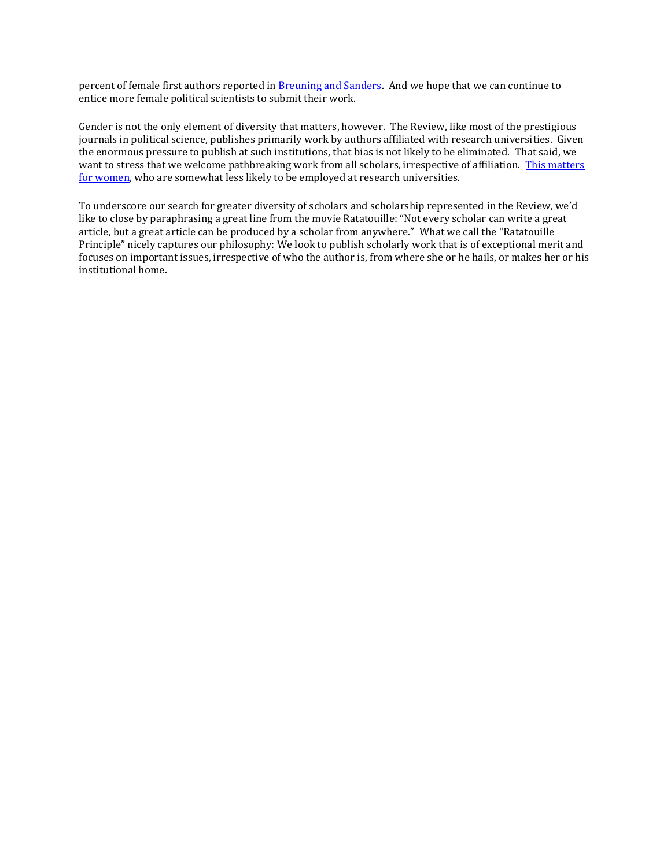percent of female first authors reported in **Breuning and Sanders**. And we hope that we can continue to entice more female political scientists to submit their work.

Gender is not the only element of diversity that matters, however. The Review, like most of the prestigious journals in political science, publishes primarily work by authors affiliated with research universities. Given the enormous pressure to publish at such institutions, that bias is not likely to be eliminated. That said, we want to stress that we welcome pathbreaking work from all scholars, irrespective of affiliation. [This matters](http://onlinelibrary.wiley.com/doi/10.1111/insp.12002/full?campaign=wlytk-41549.5895949074)  [for women,](http://onlinelibrary.wiley.com/doi/10.1111/insp.12002/full?campaign=wlytk-41549.5895949074) who are somewhat less likely to be employed at research universities.

To underscore our search for greater diversity of scholars and scholarship represented in the Review, we'd like to close by paraphrasing a great line from the movie Ratatouille: "Not every scholar can write a great article, but a great article can be produced by a scholar from anywhere." What we call the "Ratatouille Principle" nicely captures our philosophy: We look to publish scholarly work that is of exceptional merit and focuses on important issues, irrespective of who the author is, from where she or he hails, or makes her or his institutional home.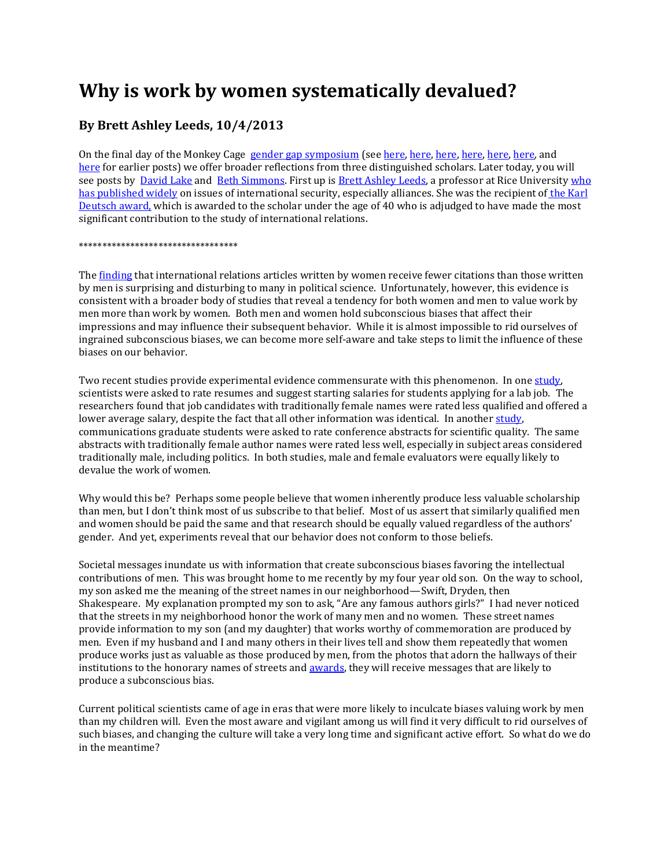## **Why is work by women systematically devalued?**

### **By Brett Ashley Leeds, 10/4/2013**

On the final day of the Monkey Cage [gender gap symposium](http://www.washingtonpost.com/blogs/monkey-cage/wp/2013/09/30/introducing-the-monkey-cage-gender-gap-symposium/) (see [here,](http://www.washingtonpost.com/blogs/monkey-cage/wp/2013/09/30/explaining-the-gender-gap/) [here,](http://www.washingtonpost.com/blogs/monkey-cage/wp/2013/10/01/how-to-reduce-the-gender-gap-in-one-relatively-easy-step/) [here,](http://www.washingtonpost.com/blogs/monkey-cage/wp/2013/10/01/closing-the-gender-citation-gap-introducing-rads/) [here,](http://www.washingtonpost.com/blogs/monkey-cage/wp/2013/10/02/why-it-matters-that-more-women-present-at-conferences/) [here,](http://www.washingtonpost.com/blogs/monkey-cage/wp/2013/10/02/student-evaluations-of-teaching-are-probably-biased-does-it-matter/) [here](http://www.washingtonpost.com/blogs/monkey-cage/wp/2013/10/03/the-gender-gap-from-the-gatekeepers-perspective/)*,* and [here](http://www.washingtonpost.com/blogs/monkey-cage/wp/2013/10/03/editors-and-the-gender-gap/) for earlier posts) we offer broader reflections from three distinguished scholars. Later today, you will see posts by [David Lake](https://www.google.nl/url?sa=t&rct=j&q=&esrc=s&source=web&cd=1&cad=rja&ved=0CC0QFjAA&url=http%3A%2F%2Fweber.ucsd.edu%2F%7Edlake%2F&ei=MjtHUp_nJOnl4APsmoCYDg&usg=AFQjCNFfWpkyditL7C_B8QKJvqX3XwK1RQ&bvm=bv.53217764,d.dmg) and [Beth Simmons.](http://scholar.harvard.edu/bsimmons/) First up is [Brett Ashley Leeds,](http://www.ruf.rice.edu/~leeds/) a professor at Rice University who [has published widely](http://www.ruf.rice.edu/~leeds/) on issues of international security, especially alliances. She was the recipient of the Karl [Deutsch award,](http://news.rice.edu/2008/04/16/rice-political-scientist-wins-deutsch-award-for-international-relations-and-peace-research/) which is awarded to the scholar under the age of 40 who is adjudged to have made the most significant contribution to the study of international relations.

#### \*\*\*\*\*\*\*\*\*\*\*\*\*\*\*\*\*\*\*\*\*\*\*\*\*\*\*\*\*\*\*\*\*\*

Th[e finding](http://journals.cambridge.org/action/displayAbstract?fromPage=online&aid=8990966) that international relations articles written by women receive fewer citations than those written by men is surprising and disturbing to many in political science. Unfortunately, however, this evidence is consistent with a broader body of studies that reveal a tendency for both women and men to value work by men more than work by women. Both men and women hold subconscious biases that affect their impressions and may influence their subsequent behavior. While it is almost impossible to rid ourselves of ingrained subconscious biases, we can become more self-aware and take steps to limit the influence of these biases on our behavior.

Two recent studies provide experimental evidence commensurate with this phenomenon. In one study, scientists were asked to rate resumes and suggest starting salaries for students applying for a lab job. The researchers found that job candidates with traditionally female names were rated less qualified and offered a lower average salary, despite the fact that all other information was identical. In another study, communications graduate students were asked to rate conference abstracts for scientific quality. The same abstracts with traditionally female author names were rated less well, especially in subject areas considered traditionally male, including politics. In both studies, male and female evaluators were equally likely to devalue the work of women.

Why would this be? Perhaps some people believe that women inherently produce less valuable scholarship than men, but I don't think most of us subscribe to that belief. Most of us assert that similarly qualified men and women should be paid the same and that research should be equally valued regardless of the authors' gender. And yet, experiments reveal that our behavior does not conform to those beliefs.

Societal messages inundate us with information that create subconscious biases favoring the intellectual contributions of men. This was brought home to me recently by my four year old son. On the way to school, my son asked me the meaning of the street names in our neighborhood—Swift, Dryden, then Shakespeare. My explanation prompted my son to ask, "Are any famous authors girls?" I had never noticed that the streets in my neighborhood honor the work of many men and no women. These street names provide information to my son (and my daughter) that works worthy of commemoration are produced by men. Even if my husband and I and many others in their lives tell and show them repeatedly that women produce works just as valuable as those produced by men, from the photos that adorn the hallways of their institutions to the honorary names of streets an[d awards,](https://www.apsanet.org/content_82742.cfm) they will receive messages that are likely to produce a subconscious bias.

Current political scientists came of age in eras that were more likely to inculcate biases valuing work by men than my children will. Even the most aware and vigilant among us will find it very difficult to rid ourselves of such biases, and changing the culture will take a very long time and significant active effort. So what do we do in the meantime?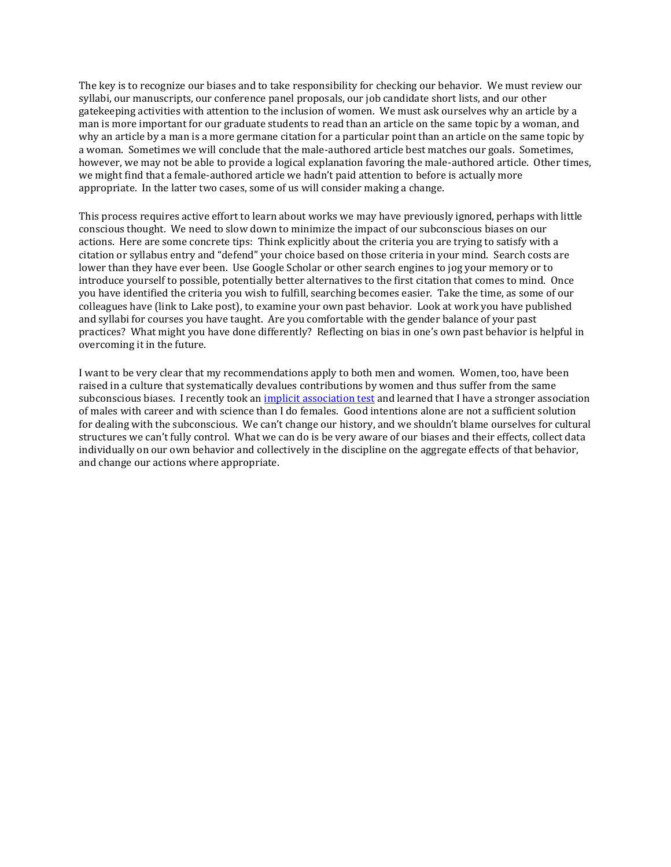The key is to recognize our biases and to take responsibility for checking our behavior. We must review our syllabi, our manuscripts, our conference panel proposals, our job candidate short lists, and our other gatekeeping activities with attention to the inclusion of women. We must ask ourselves why an article by a man is more important for our graduate students to read than an article on the same topic by a woman, and why an article by a man is a more germane citation for a particular point than an article on the same topic by a woman. Sometimes we will conclude that the male-authored article best matches our goals. Sometimes, however, we may not be able to provide a logical explanation favoring the male-authored article. Other times, we might find that a female-authored article we hadn't paid attention to before is actually more appropriate. In the latter two cases, some of us will consider making a change.

This process requires active effort to learn about works we may have previously ignored, perhaps with little conscious thought. We need to slow down to minimize the impact of our subconscious biases on our actions. Here are some concrete tips: Think explicitly about the criteria you are trying to satisfy with a citation or syllabus entry and "defend" your choice based on those criteria in your mind. Search costs are lower than they have ever been. Use Google Scholar or other search engines to jog your memory or to introduce yourself to possible, potentially better alternatives to the first citation that comes to mind. Once you have identified the criteria you wish to fulfill, searching becomes easier. Take the time, as some of our colleagues have (link to Lake post), to examine your own past behavior. Look at work you have published and syllabi for courses you have taught. Are you comfortable with the gender balance of your past practices? What might you have done differently? Reflecting on bias in one's own past behavior is helpful in overcoming it in the future.

I want to be very clear that my recommendations apply to both men and women. Women, too, have been raised in a culture that systematically devalues contributions by women and thus suffer from the same subconscious biases. I recently took an *implicit association test* and learned that I have a stronger association of males with career and with science than I do females. Good intentions alone are not a sufficient solution for dealing with the subconscious. We can't change our history, and we shouldn't blame ourselves for cultural structures we can't fully control. What we can do is be very aware of our biases and their effects, collect data individually on our own behavior and collectively in the discipline on the aggregate effects of that behavior, and change our actions where appropriate.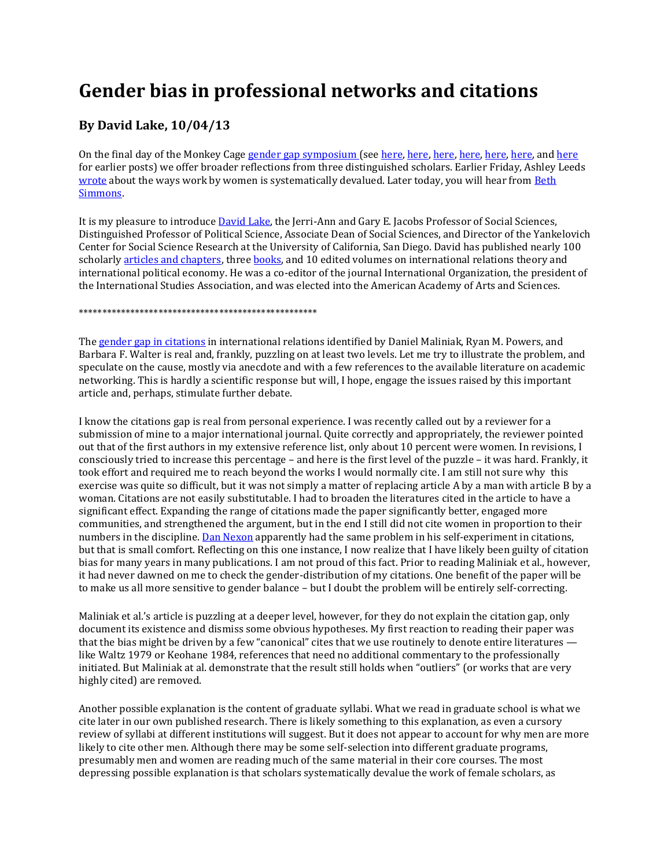# **Gender bias in professional networks and citations**

### **By David Lake, 10/04/13**

On the final day of the Monkey Cag[e gender gap symposium \(](http://www.washingtonpost.com/blogs/monkey-cage/wp/2013/09/30/introducing-the-monkey-cage-gender-gap-symposium/)see [here,](http://www.washingtonpost.com/blogs/monkey-cage/wp/2013/10/03/the-gender-gap-from-the-gatekeepers-perspective/) here, here, here, here, an[d here](http://www.washingtonpost.com/blogs/monkey-cage/wp/2013/10/03/editors-and-the-gender-gap/) for earlier posts) we offer broader reflections from three distinguished scholars. Earlier Friday, Ashley Leeds [wrote](http://www.washingtonpost.com/blogs/monkey-cage/wp/2013/10/04/why-is-work-by-women-systematically-devalued/) about the ways work by women is systematically devalued. Later today, you will hear from Beth [Simmons.](http://scholar.harvard.edu/bsimmons/)

It is my pleasure to introduc[e David Lake,](https://quote.ucsd.edu/lake/) the Jerri-Ann and Gary E. Jacobs Professor of Social Sciences, Distinguished Professor of Political Science, Associate Dean of Social Sciences, and Director of the Yankelovich Center for Social Science Research at the University of California, San Diego. David has published nearly 100 scholarl[y articles and chapters,](https://quote.ucsd.edu/lake/research/articles-and-chapters/) thre[e books,](https://quote.ucsd.edu/lake/research/books/) and 10 edited volumes on international relations theory and international political economy. He was a co-editor of the journal International Organization, the president of the International Studies Association, and was elected into the American Academy of Arts and Sciences.

#### \*\*\*\*\*\*\*\*\*\*\*\*\*\*\*\*\*\*\*\*\*\*\*\*\*\*\*\*\*\*\*\*\*\*\*\*\*\*\*\*\*\*\*\*\*\*\*\*\*\*\*

Th[e gender gap in citations](http://papers.ssrn.com/sol3/papers.cfm?abstract_id=2303311) in international relations identified by Daniel Maliniak, Ryan M. Powers, and Barbara F. Walter is real and, frankly, puzzling on at least two levels. Let me try to illustrate the problem, and speculate on the cause, mostly via anecdote and with a few references to the available literature on academic networking. This is hardly a scientific response but will, I hope, engage the issues raised by this important article and, perhaps, stimulate further debate.

I know the citations gap is real from personal experience. I was recently called out by a reviewer for a submission of mine to a major international journal. Quite correctly and appropriately, the reviewer pointed out that of the first authors in my extensive reference list, only about 10 percent were women. In revisions, I consciously tried to increase this percentage – and here is the first level of the puzzle – it was hard. Frankly, it took effort and required me to reach beyond the works I would normally cite. I am still not sure why this exercise was quite so difficult, but it was not simply a matter of replacing article A by a man with article B by a woman. Citations are not easily substitutable. I had to broaden the literatures cited in the article to have a significant effect. Expanding the range of citations made the paper significantly better, engaged more communities, and strengthened the argument, but in the end I still did not cite women in proportion to their numbers in the discipline[. Dan Nexon](http://www.whiteoliphaunt.com/duckofminerva/2013/08/the-citation-gap-results-of-a-self-experiment.html) apparently had the same problem in his self-experiment in citations, but that is small comfort. Reflecting on this one instance, I now realize that I have likely been guilty of citation bias for many years in many publications. I am not proud of this fact. Prior to reading Maliniak et al., however, it had never dawned on me to check the gender-distribution of my citations. One benefit of the paper will be to make us all more sensitive to gender balance – but I doubt the problem will be entirely self-correcting.

Maliniak et al.'s article is puzzling at a deeper level, however, for they do not explain the citation gap, only document its existence and dismiss some obvious hypotheses. My first reaction to reading their paper was that the bias might be driven by a few "canonical" cites that we use routinely to denote entire literatures like Waltz 1979 or Keohane 1984, references that need no additional commentary to the professionally initiated. But Maliniak at al. demonstrate that the result still holds when "outliers" (or works that are very highly cited) are removed.

Another possible explanation is the content of graduate syllabi. What we read in graduate school is what we cite later in our own published research. There is likely something to this explanation, as even a cursory review of syllabi at different institutions will suggest. But it does not appear to account for why men are more likely to cite other men. Although there may be some self-selection into different graduate programs, presumably men and women are reading much of the same material in their core courses. The most depressing possible explanation is that scholars systematically devalue the work of female scholars, as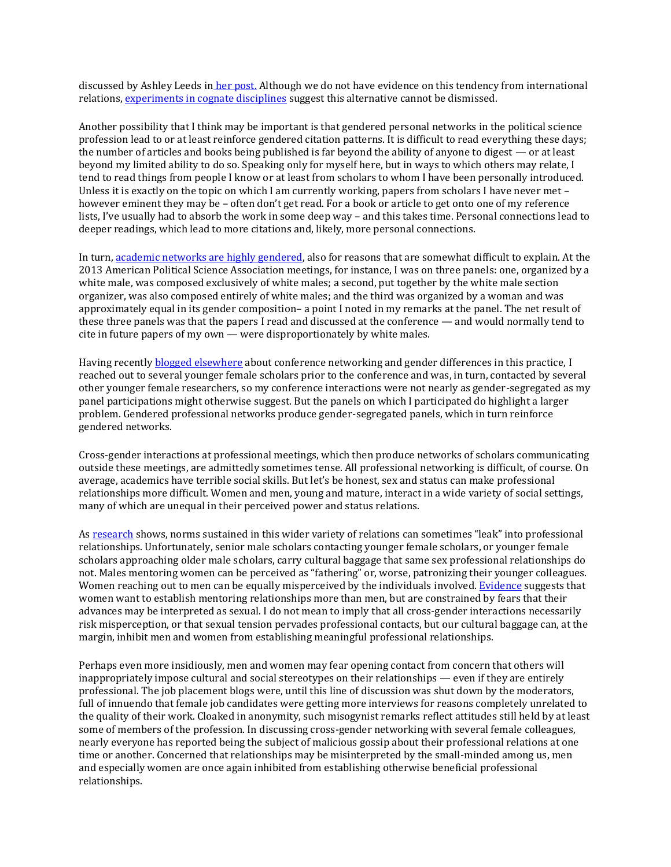discussed by Ashley Leeds in [her post.](http://www.washingtonpost.com/blogs/monkey-cage/wp/2013/10/04/why-is-work-by-women-systematically-devalued/) Although we do not have evidence on this tendency from international relations[, experiments in cognate disciplines](http://researchnews.osu.edu/archive/matilda.htm) suggest this alternative cannot be dismissed.

Another possibility that I think may be important is that gendered personal networks in the political science profession lead to or at least reinforce gendered citation patterns. It is difficult to read everything these days; the number of articles and books being published is far beyond the ability of anyone to digest — or at least beyond my limited ability to do so. Speaking only for myself here, but in ways to which others may relate, I tend to read things from people I know or at least from scholars to whom I have been personally introduced. Unless it is exactly on the topic on which I am currently working, papers from scholars I have never met – however eminent they may be – often don't get read. For a book or article to get onto one of my reference lists, I've usually had to absorb the work in some deep way – and this takes time. Personal connections lead to deeper readings, which lead to more citations and, likely, more personal connections.

In turn, [academic networks are highly gendered,](http://www.emeraldinsight.com/journals.htm?articleid=1412048&show=abstract) also for reasons that are somewhat difficult to explain. At the 2013 American Political Science Association meetings, for instance, I was on three panels: one, organized by a white male, was composed exclusively of white males; a second, put together by the white male section organizer, was also composed entirely of white males; and the third was organized by a woman and was approximately equal in its gender composition– a point I noted in my remarks at the panel. The net result of these three panels was that the papers I read and discussed at the conference — and would normally tend to cite in future papers of my own — were disproportionately by white males.

Having recently **blogged elsewhere** about conference networking and gender differences in this practice, I reached out to several younger female scholars prior to the conference and was, in turn, contacted by several other younger female researchers, so my conference interactions were not nearly as gender-segregated as my panel participations might otherwise suggest. But the panels on which I participated do highlight a larger problem. Gendered professional networks produce gender-segregated panels, which in turn reinforce gendered networks.

Cross-gender interactions at professional meetings, which then produce networks of scholars communicating outside these meetings, are admittedly sometimes tense. All professional networking is difficult, of course. On average, academics have terrible social skills. But let's be honest, sex and status can make professional relationships more difficult. Women and men, young and mature, interact in a wide variety of social settings, many of which are unequal in their perceived power and status relations.

A[s research](http://www.annualreviews.org/doi/pdf/10.1146/annurev.soc.25.1.191) shows, norms sustained in this wider variety of relations can sometimes "leak" into professional relationships. Unfortunately, senior male scholars contacting younger female scholars, or younger female scholars approaching older male scholars, carry cultural baggage that same sex professional relationships do not. Males mentoring women can be perceived as "fathering" or, worse, patronizing their younger colleagues. Women reaching out to men can be equally misperceived by the individuals involved[. Evidence](http://amj.aom.org/content/34/4/939.short) suggests that women want to establish mentoring relationships more than men, but are constrained by fears that their advances may be interpreted as sexual. I do not mean to imply that all cross-gender interactions necessarily risk misperception, or that sexual tension pervades professional contacts, but our cultural baggage can, at the margin, inhibit men and women from establishing meaningful professional relationships.

Perhaps even more insidiously, men and women may fear opening contact from concern that others will inappropriately impose cultural and social stereotypes on their relationships — even if they are entirely professional. The job placement blogs were, until this line of discussion was shut down by the moderators, full of innuendo that female job candidates were getting more interviews for reasons completely unrelated to the quality of their work. Cloaked in anonymity, such misogynist remarks reflect attitudes still held by at least some of members of the profession. In discussing cross-gender networking with several female colleagues, nearly everyone has reported being the subject of malicious gossip about their professional relations at one time or another. Concerned that relationships may be misinterpreted by the small-minded among us, men and especially women are once again inhibited from establishing otherwise beneficial professional relationships.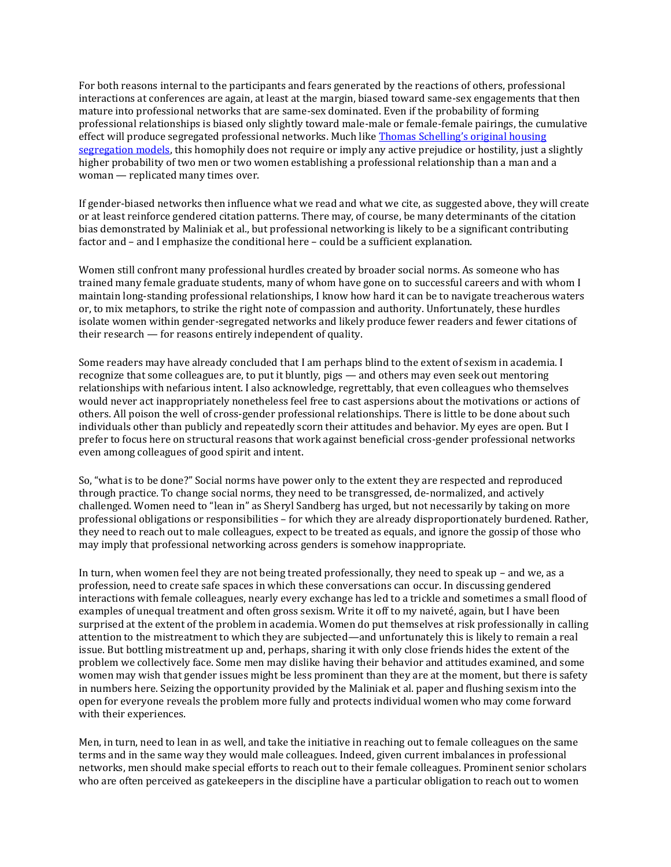For both reasons internal to the participants and fears generated by the reactions of others, professional interactions at conferences are again, at least at the margin, biased toward same-sex engagements that then mature into professional networks that are same-sex dominated. Even if the probability of forming professional relationships is biased only slightly toward male-male or female-female pairings, the cumulative effect will produce segregated professional networks. Much like [Thomas Schelling's original housing](http://www.jstor.org/stable/1823701)  [segregation models,](http://www.jstor.org/stable/1823701) this homophily does not require or imply any active prejudice or hostility, just a slightly higher probability of two men or two women establishing a professional relationship than a man and a woman — replicated many times over.

If gender-biased networks then influence what we read and what we cite, as suggested above, they will create or at least reinforce gendered citation patterns. There may, of course, be many determinants of the citation bias demonstrated by Maliniak et al., but professional networking is likely to be a significant contributing factor and – and I emphasize the conditional here – could be a sufficient explanation.

Women still confront many professional hurdles created by broader social norms. As someone who has trained many female graduate students, many of whom have gone on to successful careers and with whom I maintain long-standing professional relationships, I know how hard it can be to navigate treacherous waters or, to mix metaphors, to strike the right note of compassion and authority. Unfortunately, these hurdles isolate women within gender-segregated networks and likely produce fewer readers and fewer citations of their research — for reasons entirely independent of quality.

Some readers may have already concluded that I am perhaps blind to the extent of sexism in academia. I recognize that some colleagues are, to put it bluntly, pigs — and others may even seek out mentoring relationships with nefarious intent. I also acknowledge, regrettably, that even colleagues who themselves would never act inappropriately nonetheless feel free to cast aspersions about the motivations or actions of others. All poison the well of cross-gender professional relationships. There is little to be done about such individuals other than publicly and repeatedly scorn their attitudes and behavior. My eyes are open. But I prefer to focus here on structural reasons that work against beneficial cross-gender professional networks even among colleagues of good spirit and intent.

So, "what is to be done?" Social norms have power only to the extent they are respected and reproduced through practice. To change social norms, they need to be transgressed, de-normalized, and actively challenged. Women need to "lean in" as Sheryl Sandberg has urged, but not necessarily by taking on more professional obligations or responsibilities – for which they are already disproportionately burdened. Rather, they need to reach out to male colleagues, expect to be treated as equals, and ignore the gossip of those who may imply that professional networking across genders is somehow inappropriate.

In turn, when women feel they are not being treated professionally, they need to speak up – and we, as a profession, need to create safe spaces in which these conversations can occur. In discussing gendered interactions with female colleagues, nearly every exchange has led to a trickle and sometimes a small flood of examples of unequal treatment and often gross sexism. Write it off to my naiveté, again, but I have been surprised at the extent of the problem in academia. Women do put themselves at risk professionally in calling attention to the mistreatment to which they are subjected—and unfortunately this is likely to remain a real issue. But bottling mistreatment up and, perhaps, sharing it with only close friends hides the extent of the problem we collectively face. Some men may dislike having their behavior and attitudes examined, and some women may wish that gender issues might be less prominent than they are at the moment, but there is safety in numbers here. Seizing the opportunity provided by the Maliniak et al. paper and flushing sexism into the open for everyone reveals the problem more fully and protects individual women who may come forward with their experiences.

Men, in turn, need to lean in as well, and take the initiative in reaching out to female colleagues on the same terms and in the same way they would male colleagues. Indeed, given current imbalances in professional networks, men should make special efforts to reach out to their female colleagues. Prominent senior scholars who are often perceived as gatekeepers in the discipline have a particular obligation to reach out to women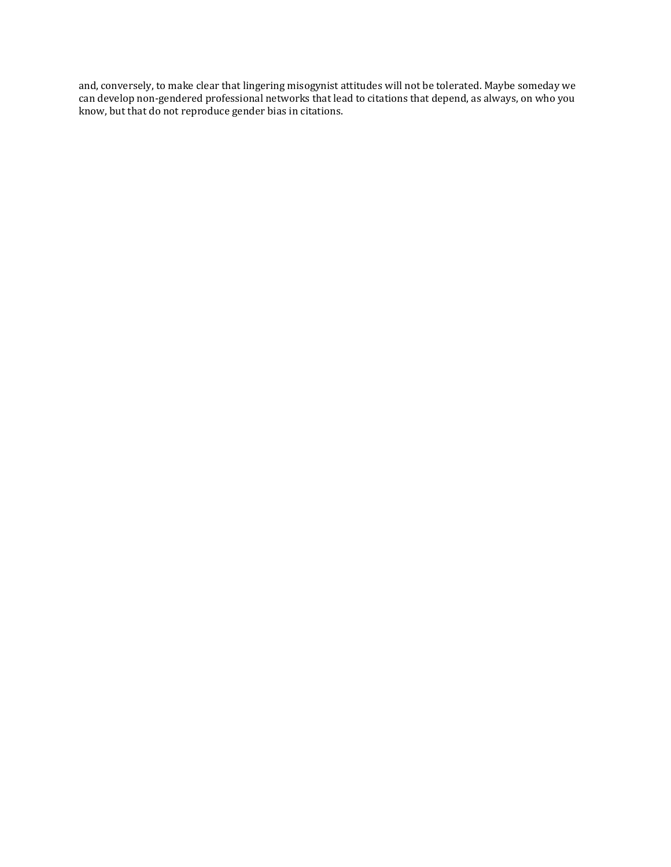and, conversely, to make clear that lingering misogynist attitudes will not be tolerated. Maybe someday we can develop non-gendered professional networks that lead to citations that depend, as always, on who you know, but that do not reproduce gender bias in citations.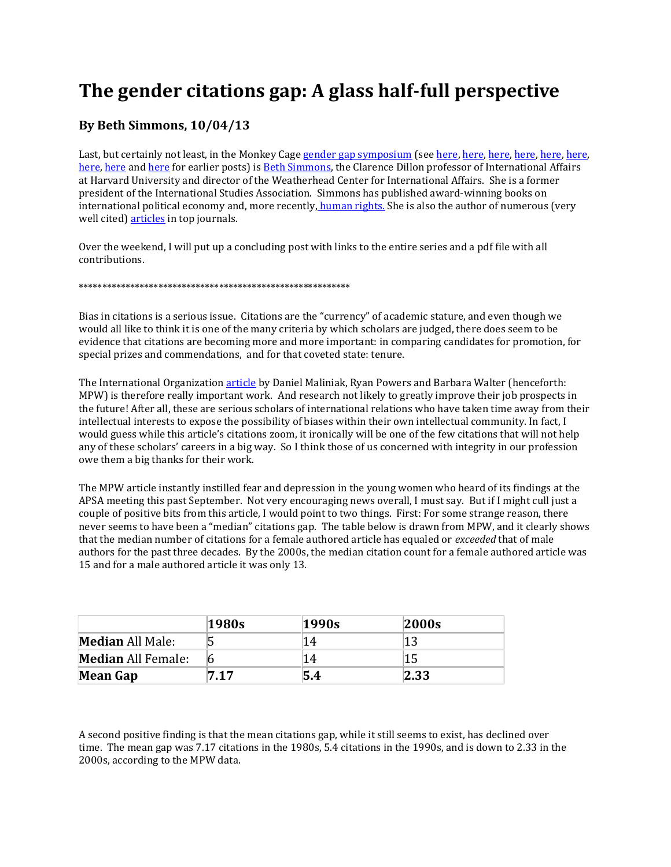# **The gender citations gap: A glass half-full perspective**

### **By Beth Simmons, 10/04/13**

Last, but certainly not least, in the Monkey Cage [gender gap symposium](http://www.washingtonpost.com/blogs/monkey-cage/wp/2013/09/30/introducing-the-monkey-cage-gender-gap-symposium/) (see [here,](http://www.washingtonpost.com/blogs/monkey-cage/wp/2013/10/02/student-evaluations-of-teaching-are-probably-biased-does-it-matter/) [here,](http://www.washingtonpost.com/blogs/monkey-cage/wp/2013/10/03/the-gender-gap-from-the-gatekeepers-perspective/) here, here, here, here, [here,](http://www.washingtonpost.com/blogs/monkey-cage/wp/2013/10/03/editors-and-the-gender-gap/) [here](http://www.washingtonpost.com/blogs/monkey-cage/wp/2013/10/04/why-is-work-by-women-systematically-devalued/) an[d here](http://www.washingtonpost.com/blogs/monkey-cage/wp/2013/10/04/gender-bias-in-professional-networks-and-citations/) for earlier posts) i[s Beth Simmons,](http://scholar.harvard.edu/bsimmons/) the Clarence Dillon professor of International Affairs at Harvard University and director of the Weatherhead Center for International Affairs. She is a former president of the International Studies Association. Simmons has published award-winning books on international political economy and, more recently, [human rights.](http://www.amazon.com/Mobilizing-Human-Rights-International-Domestic/dp/0521712327/ref=sr_1_2?ie=UTF8&s=books&qid=1243456764&sr=8-2) She is also the author of numerous (very well cited[\) articles](http://scholar.harvard.edu/bsimmons/publications) in top journals.

Over the weekend, I will put up a concluding post with links to the entire series and a pdf file with all contributions.

\*\*\*\*\*\*\*\*\*\*\*\*\*\*\*\*\*\*\*\*\*\*\*\*\*\*\*\*\*\*\*\*\*\*\*\*\*\*\*\*\*\*\*\*\*\*\*\*\*\*\*\*\*\*\*\*\*\*

Bias in citations is a serious issue. Citations are the "currency" of academic stature, and even though we would all like to think it is one of the many criteria by which scholars are judged, there does seem to be evidence that citations are becoming more and more important: in comparing candidates for promotion, for special prizes and commendations, and for that coveted state: tenure.

The International Organizatio[n article](http://journals.cambridge.org/action/displayAbstract?fromPage=online&aid=8990966&fulltextType=RA&fileId=S0020818313000209) by Daniel Maliniak, Ryan Powers and Barbara Walter (henceforth: MPW) is therefore really important work. And research not likely to greatly improve their job prospects in the future! After all, these are serious scholars of international relations who have taken time away from their intellectual interests to expose the possibility of biases within their own intellectual community. In fact, I would guess while this article's citations zoom, it ironically will be one of the few citations that will not help any of these scholars' careers in a big way. So I think those of us concerned with integrity in our profession owe them a big thanks for their work.

The MPW article instantly instilled fear and depression in the young women who heard of its findings at the APSA meeting this past September. Not very encouraging news overall, I must say. But if I might cull just a couple of positive bits from this article, I would point to two things. First: For some strange reason, there never seems to have been a "median" citations gap. The table below is drawn from MPW, and it clearly shows that the median number of citations for a female authored article has equaled or *exceeded* that of male authors for the past three decades. By the 2000s, the median citation count for a female authored article was 15 and for a male authored article it was only 13.

|                           | 1980s | 1990s | 2000s |
|---------------------------|-------|-------|-------|
| <b>Median All Male:</b>   |       | 14    |       |
| <b>Median All Female:</b> | h     | 14    |       |
| <b>Mean Gap</b>           | 7.17  | 5.4   | 2.33  |

A second positive finding is that the mean citations gap, while it still seems to exist, has declined over time. The mean gap was 7.17 citations in the 1980s, 5.4 citations in the 1990s, and is down to 2.33 in the 2000s, according to the MPW data.